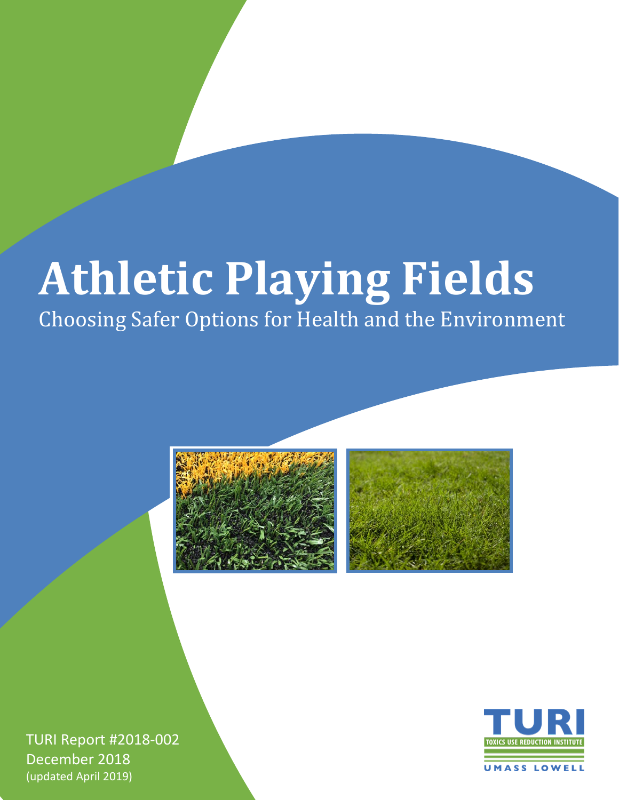# **Athletic Playing Fields**

Choosing Safer Options for Health and the Environment



TURI Report #2018-002 December 2018 (updated April 2019)

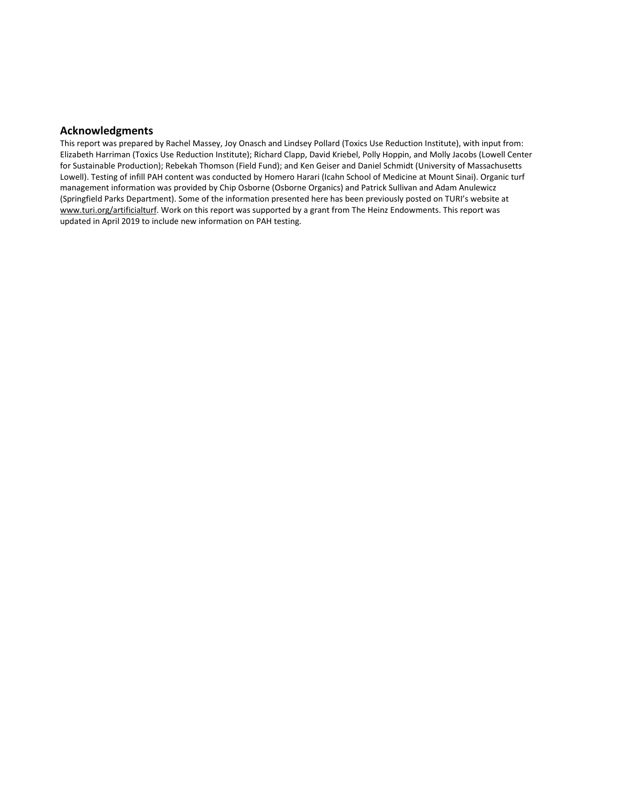#### **Acknowledgments**

This report was prepared by Rachel Massey, Joy Onasch and Lindsey Pollard (Toxics Use Reduction Institute), with input from: Elizabeth Harriman (Toxics Use Reduction Institute); Richard Clapp, David Kriebel, Polly Hoppin, and Molly Jacobs (Lowell Center for Sustainable Production); Rebekah Thomson (Field Fund); and Ken Geiser and Daniel Schmidt (University of Massachusetts Lowell). Testing of infill PAH content was conducted by Homero Harari (Icahn School of Medicine at Mount Sinai). Organic turf management information was provided by Chip Osborne (Osborne Organics) and Patrick Sullivan and Adam Anulewicz (Springfield Parks Department). Some of the information presented here has been previously posted on TURI's website at [www.turi.org/artificialturf.](http://www.turi.org/artificialturf) Work on this report was supported by a grant from The Heinz Endowments. This report was updated in April 2019 to include new information on PAH testing.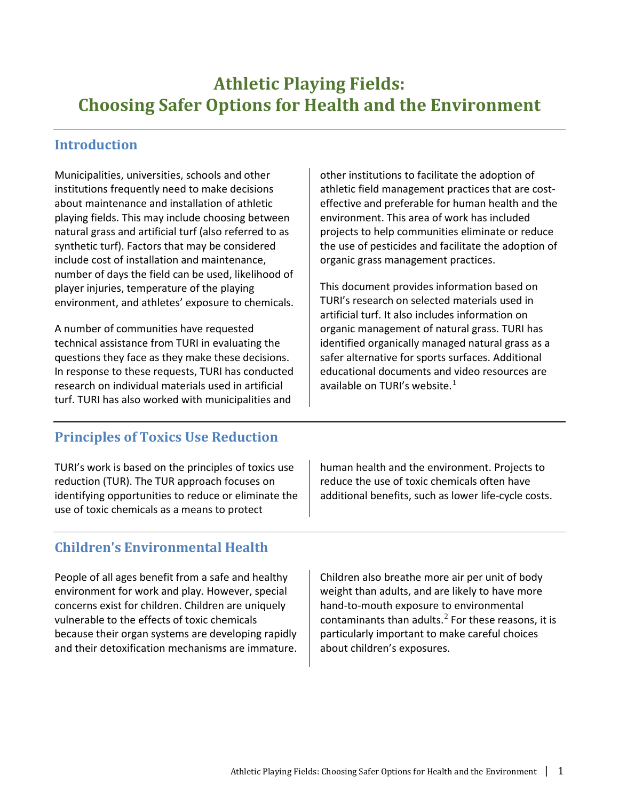# **Athletic Playing Fields: Choosing Safer Options for Health and the Environment**

# **Introduction**

Municipalities, universities, schools and other institutions frequently need to make decisions about maintenance and installation of athletic playing fields. This may include choosing between natural grass and artificial turf (also referred to as synthetic turf). Factors that may be considered include cost of installation and maintenance, number of days the field can be used, likelihood of player injuries, temperature of the playing environment, and athletes' exposure to chemicals.

A number of communities have requested technical assistance from TURI in evaluating the questions they face as they make these decisions. In response to these requests, TURI has conducted research on individual materials used in artificial turf. TURI has also worked with municipalities and

other institutions to facilitate the adoption of athletic field management practices that are costeffective and preferable for human health and the environment. This area of work has included projects to help communities eliminate or reduce the use of pesticides and facilitate the adoption of organic grass management practices.

This document provides information based on TURI's research on selected materials used in artificial turf. It also includes information on organic management of natural grass. TURI has identified organically managed natural grass as a safer alternative for sports surfaces. Additional educational documents and video resources are available on TURI's website.[1](#page-23-0)

# **Principles of Toxics Use Reduction**

TURI's work is based on the principles of toxics use reduction (TUR). The TUR approach focuses on identifying opportunities to reduce or eliminate the use of toxic chemicals as a means to protect

human health and the environment. Projects to reduce the use of toxic chemicals often have additional benefits, such as lower life-cycle costs.

# **Children's Environmental Health**

People of all ages benefit from a safe and healthy environment for work and play. However, special concerns exist for children. Children are uniquely vulnerable to the effects of toxic chemicals because their organ systems are developing rapidly and their detoxification mechanisms are immature.

Children also breathe more air per unit of body weight than adults, and are likely to have more hand-to-mouth exposure to environmental contaminants than adults. $<sup>2</sup>$  $<sup>2</sup>$  $<sup>2</sup>$  For these reasons, it is</sup> particularly important to make careful choices about children's exposures.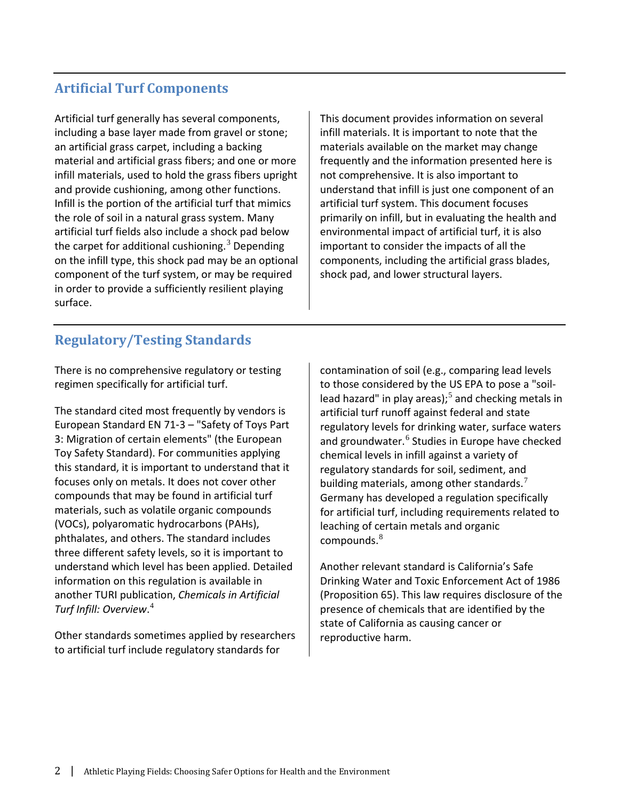# **Artificial Turf Components**

Artificial turf generally has several components, including a base layer made from gravel or stone; an artificial grass carpet, including a backing material and artificial grass fibers; and one or more infill materials, used to hold the grass fibers upright and provide cushioning, among other functions. Infill is the portion of the artificial turf that mimics the role of soil in a natural grass system. Many artificial turf fields also include a shock pad below the carpet for additional cushioning.<sup>[3](#page-24-0)</sup> Depending on the infill type, this shock pad may be an optional component of the turf system, or may be required in order to provide a sufficiently resilient playing surface.

This document provides information on several infill materials. It is important to note that the materials available on the market may change frequently and the information presented here is not comprehensive. It is also important to understand that infill is just one component of an artificial turf system. This document focuses primarily on infill, but in evaluating the health and environmental impact of artificial turf, it is also important to consider the impacts of all the components, including the artificial grass blades, shock pad, and lower structural layers.

# **Regulatory/Testing Standards**

There is no comprehensive regulatory or testing regimen specifically for artificial turf.

The standard cited most frequently by vendors is European Standard EN 71‐3 – "Safety of Toys Part 3: Migration of certain elements" (the European Toy Safety Standard). For communities applying this standard, it is important to understand that it focuses only on metals. It does not cover other compounds that may be found in artificial turf materials, such as volatile organic compounds (VOCs), polyaromatic hydrocarbons (PAHs), phthalates, and others. The standard includes three different safety levels, so it is important to understand which level has been applied. Detailed information on this regulation is available in another TURI publication, *Chemicals in Artificial Turf Infill: Overview*. [4](#page-24-1)

Other standards sometimes applied by researchers to artificial turf include regulatory standards for

contamination of soil (e.g., comparing lead levels to those considered by the US EPA to pose a "soillead hazard" in play areas); $<sup>5</sup>$  $<sup>5</sup>$  $<sup>5</sup>$  and checking metals in</sup> artificial turf runoff against federal and state regulatory levels for drinking water, surface waters and groundwater.<sup>[6](#page-25-1)</sup> Studies in Europe have checked chemical levels in infill against a variety of regulatory standards for soil, sediment, and building materials, among other standards. $<sup>7</sup>$  $<sup>7</sup>$  $<sup>7</sup>$ </sup> Germany has developed a regulation specifically for artificial turf, including requirements related to leaching of certain metals and organic compounds. $8$ 

Another relevant standard is California's Safe Drinking Water and Toxic Enforcement Act of 1986 (Proposition 65). This law requires disclosure of the presence of chemicals that are identified by the state of California as causing cancer or reproductive harm.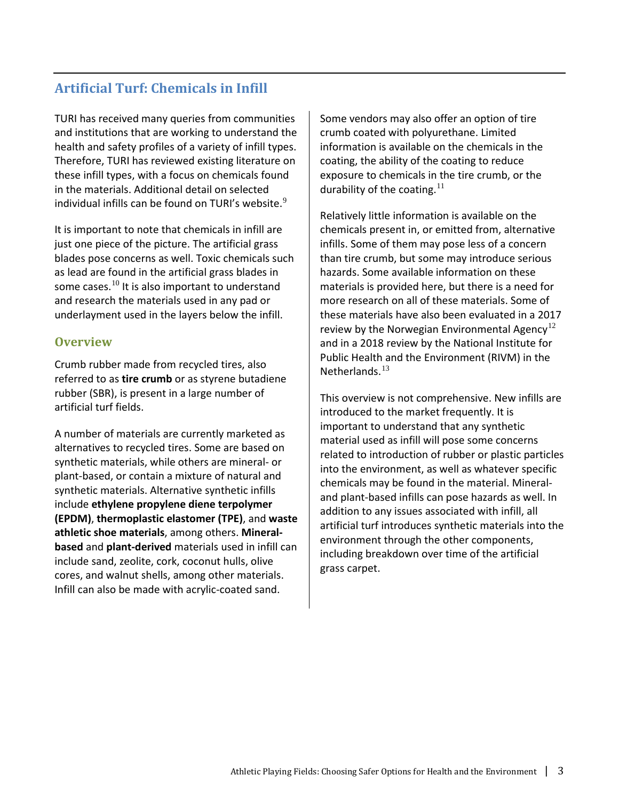# **Artificial Turf: Chemicals in Infill**

TURI has received many queries from communities and institutions that are working to understand the health and safety profiles of a variety of infill types. Therefore, TURI has reviewed existing literature on these infill types, with a focus on chemicals found in the materials. Additional detail on selected individual infills can be found on TURI's website.<sup>[9](#page-25-4)</sup>

It is important to note that chemicals in infill are just one piece of the picture. The artificial grass blades pose concerns as well. Toxic chemicals such as lead are found in the artificial grass blades in some cases. $^{10}$  $^{10}$  $^{10}$  It is also important to understand and research the materials used in any pad or underlayment used in the layers below the infill.

#### **Overview**

Crumb rubber made from recycled tires, also referred to as **tire crumb** or as styrene butadiene rubber (SBR), is present in a large number of artificial turf fields.

A number of materials are currently marketed as alternatives to recycled tires. Some are based on synthetic materials, while others are mineral- or plant-based, or contain a mixture of natural and synthetic materials. Alternative synthetic infills include **ethylene propylene diene terpolymer (EPDM)**, **thermoplastic elastomer (TPE)**, and **waste athletic shoe materials**, among others. **Mineralbased** and **plant-derived** materials used in infill can include sand, zeolite, cork, coconut hulls, olive cores, and walnut shells, among other materials. Infill can also be made with acrylic-coated sand.

Some vendors may also offer an option of tire crumb coated with polyurethane. Limited information is available on the chemicals in the coating, the ability of the coating to reduce exposure to chemicals in the tire crumb, or the durability of the coating. $11$ 

Relatively little information is available on the chemicals present in, or emitted from, alternative infills. Some of them may pose less of a concern than tire crumb, but some may introduce serious hazards. Some available information on these materials is provided here, but there is a need for more research on all of these materials. Some of these materials have also been evaluated in a 2017 review by the Norwegian Environmental Agency<sup>[12](#page-25-7)</sup> and in a 2018 review by the National Institute for Public Health and the Environment (RIVM) in the Netherlands. $13$ 

This overview is not comprehensive. New infills are introduced to the market frequently. It is important to understand that any synthetic material used as infill will pose some concerns related to introduction of rubber or plastic particles into the environment, as well as whatever specific chemicals may be found in the material. Mineraland plant-based infills can pose hazards as well. In addition to any issues associated with infill, all artificial turf introduces synthetic materials into the environment through the other components, including breakdown over time of the artificial grass carpet.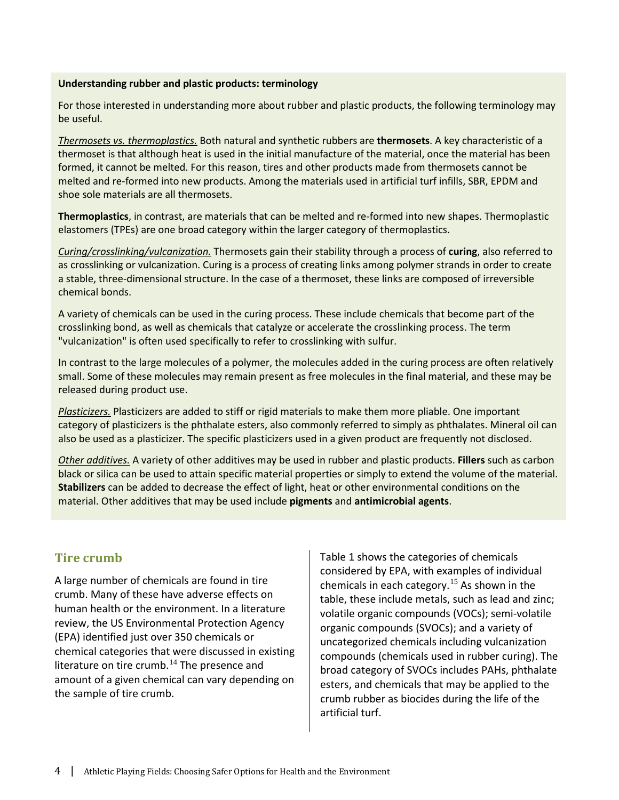#### **Understanding rubber and plastic products: terminology**

For those interested in understanding more about rubber and plastic products, the following terminology may be useful.

*Thermosets vs. thermoplastics.* Both natural and synthetic rubbers are **thermosets**. A key characteristic of a thermoset is that although heat is used in the initial manufacture of the material, once the material has been formed, it cannot be melted. For this reason, tires and other products made from thermosets cannot be melted and re-formed into new products. Among the materials used in artificial turf infills, SBR, EPDM and shoe sole materials are all thermosets.

**Thermoplastics**, in contrast, are materials that can be melted and re-formed into new shapes. Thermoplastic elastomers (TPEs) are one broad category within the larger category of thermoplastics.

*Curing/crosslinking/vulcanization.* Thermosets gain their stability through a process of **curing**, also referred to as crosslinking or vulcanization. Curing is a process of creating links among polymer strands in order to create a stable, three-dimensional structure. In the case of a thermoset, these links are composed of irreversible chemical bonds.

A variety of chemicals can be used in the curing process. These include chemicals that become part of the crosslinking bond, as well as chemicals that catalyze or accelerate the crosslinking process. The term "vulcanization" is often used specifically to refer to crosslinking with sulfur.

In contrast to the large molecules of a polymer, the molecules added in the curing process are often relatively small. Some of these molecules may remain present as free molecules in the final material, and these may be released during product use.

*Plasticizers.* Plasticizers are added to stiff or rigid materials to make them more pliable. One important category of plasticizers is the phthalate esters, also commonly referred to simply as phthalates. Mineral oil can also be used as a plasticizer. The specific plasticizers used in a given product are frequently not disclosed.

*Other additives.* A variety of other additives may be used in rubber and plastic products. **Fillers** such as carbon black or silica can be used to attain specific material properties or simply to extend the volume of the material. **Stabilizers** can be added to decrease the effect of light, heat or other environmental conditions on the material. Other additives that may be used include **pigments** and **antimicrobial agents**.

#### **Tire crumb**

A large number of chemicals are found in tire crumb. Many of these have adverse effects on human health or the environment. In a literature review, the US Environmental Protection Agency (EPA) identified just over 350 chemicals or chemical categories that were discussed in existing literature on tire crumb.<sup>[14](#page-25-9)</sup> The presence and amount of a given chemical can vary depending on the sample of tire crumb.

Table 1 shows the categories of chemicals considered by EPA, with examples of individual chemicals in each category.<sup>[15](#page-25-10)</sup> As shown in the table, these include metals, such as lead and zinc; volatile organic compounds (VOCs); semi-volatile organic compounds (SVOCs); and a variety of uncategorized chemicals including vulcanization compounds (chemicals used in rubber curing). The broad category of SVOCs includes PAHs, phthalate esters, and chemicals that may be applied to the crumb rubber as biocides during the life of the artificial turf.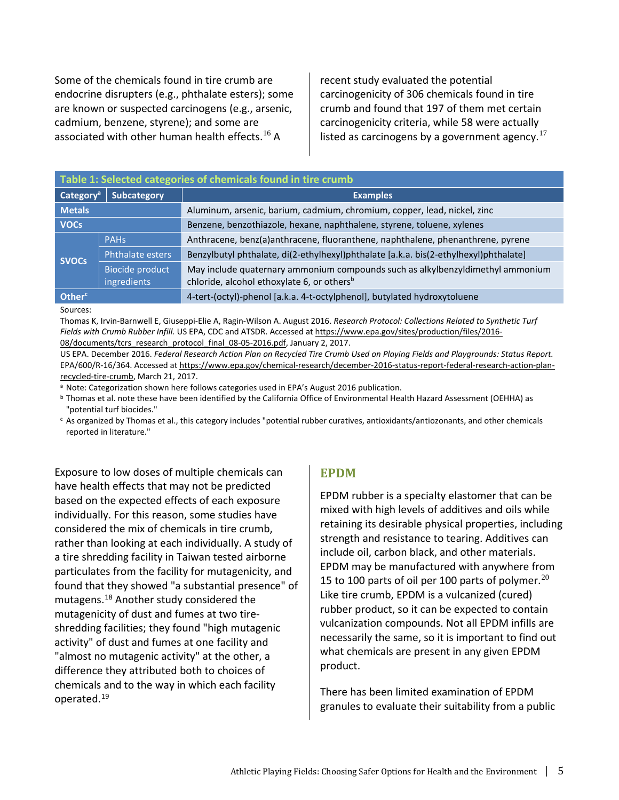Some of the chemicals found in tire crumb are endocrine disrupters (e.g., phthalate esters); some are known or suspected carcinogens (e.g., arsenic, cadmium, benzene, styrene); and some are associated with other human health effects.<sup>[16](#page-25-11)</sup> A

recent study evaluated the potential carcinogenicity of 306 chemicals found in tire crumb and found that 197 of them met certain carcinogenicity criteria, while 58 were actually listed as carcinogens by a government agency.<sup>[17](#page-25-12)</sup>

| Table 1: Selected categories of chemicals found in tire crumb |                                       |                                                                                                                                          |  |  |  |
|---------------------------------------------------------------|---------------------------------------|------------------------------------------------------------------------------------------------------------------------------------------|--|--|--|
| Category <sup>a</sup>                                         | <b>Subcategory</b><br><b>Examples</b> |                                                                                                                                          |  |  |  |
| <b>Metals</b>                                                 |                                       | Aluminum, arsenic, barium, cadmium, chromium, copper, lead, nickel, zinc                                                                 |  |  |  |
| <b>VOCs</b>                                                   |                                       | Benzene, benzothiazole, hexane, naphthalene, styrene, toluene, xylenes                                                                   |  |  |  |
| <b>SVOCs</b>                                                  | <b>PAHs</b>                           | Anthracene, benz(a)anthracene, fluoranthene, naphthalene, phenanthrene, pyrene                                                           |  |  |  |
|                                                               | Phthalate esters                      | Benzylbutyl phthalate, di(2-ethylhexyl)phthalate [a.k.a. bis(2-ethylhexyl)phthalate]                                                     |  |  |  |
|                                                               | <b>Biocide product</b><br>ingredients | May include quaternary ammonium compounds such as alkylbenzyldimethyl ammonium<br>chloride, alcohol ethoxylate 6, or others <sup>b</sup> |  |  |  |
| Other <sup>c</sup>                                            |                                       | 4-tert-(octyl)-phenol [a.k.a. 4-t-octylphenol], butylated hydroxytoluene                                                                 |  |  |  |

#### Sources:

Thomas K, Irvin-Barnwell E, Giuseppi-Elie A, Ragin-Wilson A. August 2016. *Research Protocol: Collections Related to Synthetic Turf Fields with Crumb Rubber Infill.* US EPA, CDC and ATSDR. Accessed at [https://www.epa.gov/sites/production/files/2016-](https://www.epa.gov/sites/production/files/2016-08/documents/tcrs_research_protocol_final_08-05-2016.pdf) [08/documents/tcrs\\_research\\_protocol\\_final\\_08-05-2016.pdf,](https://www.epa.gov/sites/production/files/2016-08/documents/tcrs_research_protocol_final_08-05-2016.pdf) January 2, 2017.

US EPA. December 2016. *Federal Research Action Plan on Recycled Tire Crumb Used on Playing Fields and Playgrounds: Status Report.*  EPA/600/R-16/364. Accessed a[t https://www.epa.gov/chemical-research/december-2016-status-report-federal-research-action-plan](https://www.epa.gov/chemical-research/december-2016-status-report-federal-research-action-plan-recycled-tire-crumb)[recycled-tire-crumb,](https://www.epa.gov/chemical-research/december-2016-status-report-federal-research-action-plan-recycled-tire-crumb) March 21, 2017.<br><sup>a</sup> Note: Categorization shown here follows categories used in EPA's August 2016 publication.

**b** Thomas et al. note these have been identified by the California Office of Environmental Health Hazard Assessment (OEHHA) as "potential turf biocides."

 $c$  As organized by Thomas et al., this category includes "potential rubber curatives, antioxidants/antiozonants, and other chemicals reported in literature."

Exposure to low doses of multiple chemicals can have health effects that may not be predicted based on the expected effects of each exposure individually. For this reason, some studies have considered the mix of chemicals in tire crumb, rather than looking at each individually. A study of a tire shredding facility in Taiwan tested airborne particulates from the facility for mutagenicity, and found that they showed "a substantial presence" of mutagens.[18](#page-25-13) Another study considered the mutagenicity of dust and fumes at two tireshredding facilities; they found "high mutagenic activity" of dust and fumes at one facility and "almost no mutagenic activity" at the other, a difference they attributed both to choices of chemicals and to the way in which each facility operated.[19](#page-25-14)

#### **EPDM**

EPDM rubber is a specialty elastomer that can be mixed with high levels of additives and oils while retaining its desirable physical properties, including strength and resistance to tearing. Additives can include oil, carbon black, and other materials. EPDM may be manufactured with anywhere from 15 to 100 parts of oil per 100 parts of polymer. $^{20}$  $^{20}$  $^{20}$ Like tire crumb, EPDM is a vulcanized (cured) rubber product, so it can be expected to contain vulcanization compounds. Not all EPDM infills are necessarily the same, so it is important to find out what chemicals are present in any given EPDM product.

There has been limited examination of EPDM granules to evaluate their suitability from a public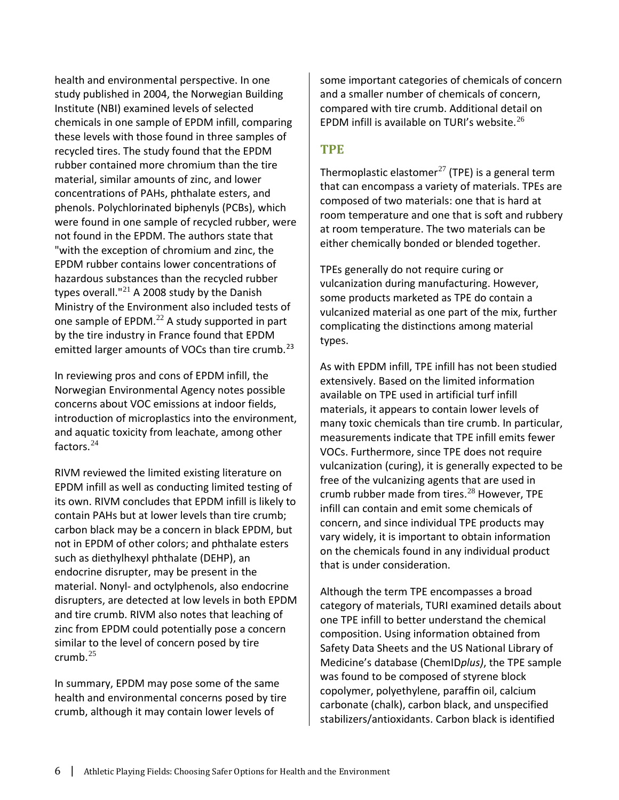health and environmental perspective. In one study published in 2004, the Norwegian Building Institute (NBI) examined levels of selected chemicals in one sample of EPDM infill, comparing these levels with those found in three samples of recycled tires. The study found that the EPDM rubber contained more chromium than the tire material, similar amounts of zinc, and lower concentrations of PAHs, phthalate esters, and phenols. Polychlorinated biphenyls (PCBs), which were found in one sample of recycled rubber, were not found in the EPDM. The authors state that "with the exception of chromium and zinc, the EPDM rubber contains lower concentrations of hazardous substances than the recycled rubber types overall." $^{21}$  $^{21}$  $^{21}$  A 2008 study by the Danish Ministry of the Environment also included tests of one sample of  $EPDM.<sup>22</sup>$  $EPDM.<sup>22</sup>$  $EPDM.<sup>22</sup>$  A study supported in part by the tire industry in France found that EPDM emitted larger amounts of VOCs than tire crumb.<sup>[23](#page-25-18)</sup>

In reviewing pros and cons of EPDM infill, the Norwegian Environmental Agency notes possible concerns about VOC emissions at indoor fields, introduction of microplastics into the environment, and aquatic toxicity from leachate, among other factors.[24](#page-25-19)

RIVM reviewed the limited existing literature on EPDM infill as well as conducting limited testing of its own. RIVM concludes that EPDM infill is likely to contain PAHs but at lower levels than tire crumb; carbon black may be a concern in black EPDM, but not in EPDM of other colors; and phthalate esters such as diethylhexyl phthalate (DEHP), an endocrine disrupter, may be present in the material. Nonyl- and octylphenols, also endocrine disrupters, are detected at low levels in both EPDM and tire crumb. RIVM also notes that leaching of zinc from EPDM could potentially pose a concern similar to the level of concern posed by tire crumb. $25$ 

In summary, EPDM may pose some of the same health and environmental concerns posed by tire crumb, although it may contain lower levels of

some important categories of chemicals of concern and a smaller number of chemicals of concern, compared with tire crumb. Additional detail on EPDM infill is available on TURI's website. $^{26}$  $^{26}$  $^{26}$ 

#### **TPE**

Thermoplastic elastomer<sup>[27](#page-25-22)</sup> (TPE) is a general term that can encompass a variety of materials. TPEs are composed of two materials: one that is hard at room temperature and one that is soft and rubbery at room temperature. The two materials can be either chemically bonded or blended together.

TPEs generally do not require curing or vulcanization during manufacturing. However, some products marketed as TPE do contain a vulcanized material as one part of the mix, further complicating the distinctions among material types.

As with EPDM infill, TPE infill has not been studied extensively. Based on the limited information available on TPE used in artificial turf infill materials, it appears to contain lower levels of many toxic chemicals than tire crumb. In particular, measurements indicate that TPE infill emits fewer VOCs. Furthermore, since TPE does not require vulcanization (curing), it is generally expected to be free of the vulcanizing agents that are used in crumb rubber made from tires.<sup>[28](#page-25-23)</sup> However, TPE infill can contain and emit some chemicals of concern, and since individual TPE products may vary widely, it is important to obtain information on the chemicals found in any individual product that is under consideration.

Although the term TPE encompasses a broad category of materials, TURI examined details about one TPE infill to better understand the chemical composition. Using information obtained from Safety Data Sheets and the US National Library of Medicine's database (ChemID*plus)*, the TPE sample was found to be composed of styrene block copolymer, polyethylene, paraffin oil, calcium carbonate (chalk), carbon black, and unspecified stabilizers/antioxidants. Carbon black is identified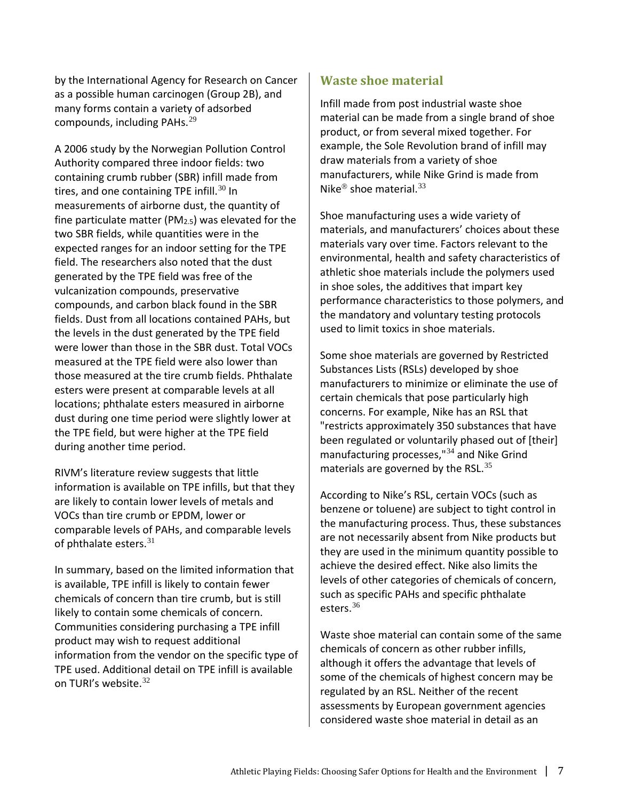by the International Agency for Research on Cancer as a possible human carcinogen (Group 2B), and many forms contain a variety of adsorbed compounds, including PAHs.<sup>[29](#page-25-24)</sup>

A 2006 study by the Norwegian Pollution Control Authority compared three indoor fields: two containing crumb rubber (SBR) infill made from tires, and one containing TPE infill.<sup>[30](#page-25-25)</sup> In measurements of airborne dust, the quantity of fine particulate matter (PM $_{2.5}$ ) was elevated for the two SBR fields, while quantities were in the expected ranges for an indoor setting for the TPE field. The researchers also noted that the dust generated by the TPE field was free of the vulcanization compounds, preservative compounds, and carbon black found in the SBR fields. Dust from all locations contained PAHs, but the levels in the dust generated by the TPE field were lower than those in the SBR dust. Total VOCs measured at the TPE field were also lower than those measured at the tire crumb fields. Phthalate esters were present at comparable levels at all locations; phthalate esters measured in airborne dust during one time period were slightly lower at the TPE field, but were higher at the TPE field during another time period.

RIVM's literature review suggests that little information is available on TPE infills, but that they are likely to contain lower levels of metals and VOCs than tire crumb or EPDM, lower or comparable levels of PAHs, and comparable levels of phthalate esters.<sup>[31](#page-25-26)</sup>

In summary, based on the limited information that is available, TPE infill is likely to contain fewer chemicals of concern than tire crumb, but is still likely to contain some chemicals of concern. Communities considering purchasing a TPE infill product may wish to request additional information from the vendor on the specific type of TPE used. Additional detail on TPE infill is available on TURI's website.<sup>[32](#page-25-27)</sup>

#### **Waste shoe material**

Infill made from post industrial waste shoe material can be made from a single brand of shoe product, or from several mixed together. For example, the Sole Revolution brand of infill may draw materials from a variety of shoe manufacturers, while Nike Grind is made from Nike<sup>®</sup> shoe material.<sup>[33](#page-25-28)</sup>

Shoe manufacturing uses a wide variety of materials, and manufacturers' choices about these materials vary over time. Factors relevant to the environmental, health and safety characteristics of athletic shoe materials include the polymers used in shoe soles, the additives that impart key performance characteristics to those polymers, and the mandatory and voluntary testing protocols used to limit toxics in shoe materials.

Some shoe materials are governed by Restricted Substances Lists (RSLs) developed by shoe manufacturers to minimize or eliminate the use of certain chemicals that pose particularly high concerns. For example, Nike has an RSL that "restricts approximately 350 substances that have been regulated or voluntarily phased out of [their] manufacturing processes,<sup>"[34](#page-25-29)</sup> and Nike Grind materials are governed by the RSL. $^{35}$  $^{35}$  $^{35}$ 

According to Nike's RSL, certain VOCs (such as benzene or toluene) are subject to tight control in the manufacturing process. Thus, these substances are not necessarily absent from Nike products but they are used in the minimum quantity possible to achieve the desired effect. Nike also limits the levels of other categories of chemicals of concern, such as specific PAHs and specific phthalate esters. [36](#page-25-31)

Waste shoe material can contain some of the same chemicals of concern as other rubber infills, although it offers the advantage that levels of some of the chemicals of highest concern may be regulated by an RSL. Neither of the recent assessments by European government agencies considered waste shoe material in detail as an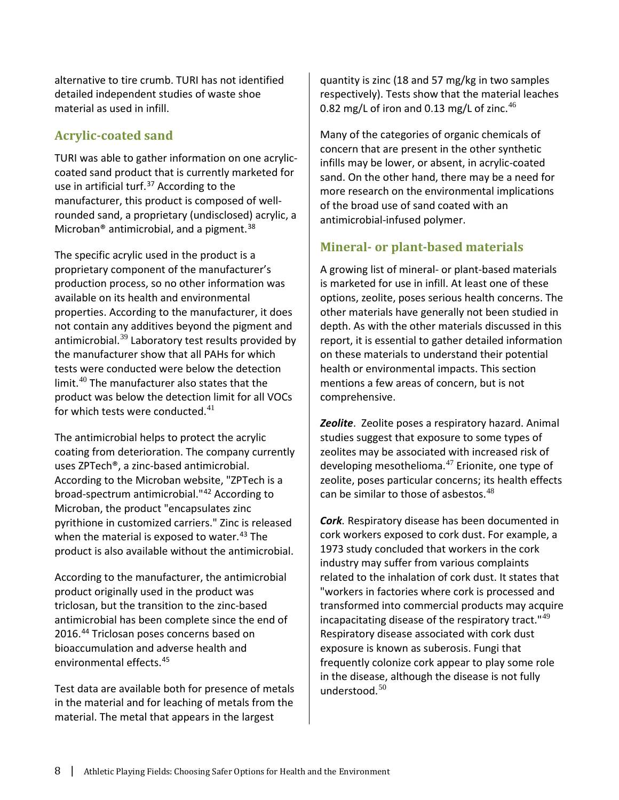alternative to tire crumb. TURI has not identified detailed independent studies of waste shoe material as used in infill.

#### **Acrylic-coated sand**

TURI was able to gather information on one acryliccoated sand product that is currently marketed for use in artificial turf.<sup>[37](#page-25-32)</sup> According to the manufacturer, this product is composed of wellrounded sand, a proprietary (undisclosed) acrylic, a Microban<sup>®</sup> antimicrobial, and a pigment.<sup>[38](#page-25-33)</sup>

The specific acrylic used in the product is a proprietary component of the manufacturer's production process, so no other information was available on its health and environmental properties. According to the manufacturer, it does not contain any additives beyond the pigment and antimicrobial. $39$  Laboratory test results provided by the manufacturer show that all PAHs for which tests were conducted were below the detection limit.[40](#page-25-35) The manufacturer also states that the product was below the detection limit for all VOCs for which tests were conducted. $^{41}$  $^{41}$  $^{41}$ 

The antimicrobial helps to protect the acrylic coating from deterioration. The company currently uses ZPTech®, a zinc-based antimicrobial. According to the Microban website, "ZPTech is a broad-spectrum antimicrobial."[42](#page-25-37) According to Microban, the product "encapsulates zinc pyrithione in customized carriers." Zinc is released when the material is exposed to water.<sup>[43](#page-25-38)</sup> The product is also available without the antimicrobial.

According to the manufacturer, the antimicrobial product originally used in the product was triclosan, but the transition to the zinc-based antimicrobial has been complete since the end of 2016. [44](#page-25-39) Triclosan poses concerns based on bioaccumulation and adverse health and environmental effects. [45](#page-25-40)

Test data are available both for presence of metals in the material and for leaching of metals from the material. The metal that appears in the largest

quantity is zinc (18 and 57 mg/kg in two samples respectively). Tests show that the material leaches 0.82 mg/L of iron and 0.13 mg/L of zinc. $46$ 

Many of the categories of organic chemicals of concern that are present in the other synthetic infills may be lower, or absent, in acrylic-coated sand. On the other hand, there may be a need for more research on the environmental implications of the broad use of sand coated with an antimicrobial-infused polymer.

#### **Mineral- or plant-based materials**

A growing list of mineral- or plant-based materials is marketed for use in infill. At least one of these options, zeolite, poses serious health concerns. The other materials have generally not been studied in depth. As with the other materials discussed in this report, it is essential to gather detailed information on these materials to understand their potential health or environmental impacts. This section mentions a few areas of concern, but is not comprehensive.

*Zeolite*. Zeolite poses a respiratory hazard. Animal studies suggest that exposure to some types of zeolites may be associated with increased risk of developing mesothelioma. $47$  Erionite, one type of zeolite, poses particular concerns; its health effects can be similar to those of asbestos.<sup>[48](#page-25-43)</sup>

*Cork.* Respiratory disease has been documented in cork workers exposed to cork dust. For example, a 1973 study concluded that workers in the cork industry may suffer from various complaints related to the inhalation of cork dust. It states that "workers in factories where cork is processed and transformed into commercial products may acquire incapacitating disease of the respiratory tract."[49](#page-25-44) Respiratory disease associated with cork dust exposure is known as suberosis. Fungi that frequently colonize cork appear to play some role in the disease, although the disease is not fully understood. $50$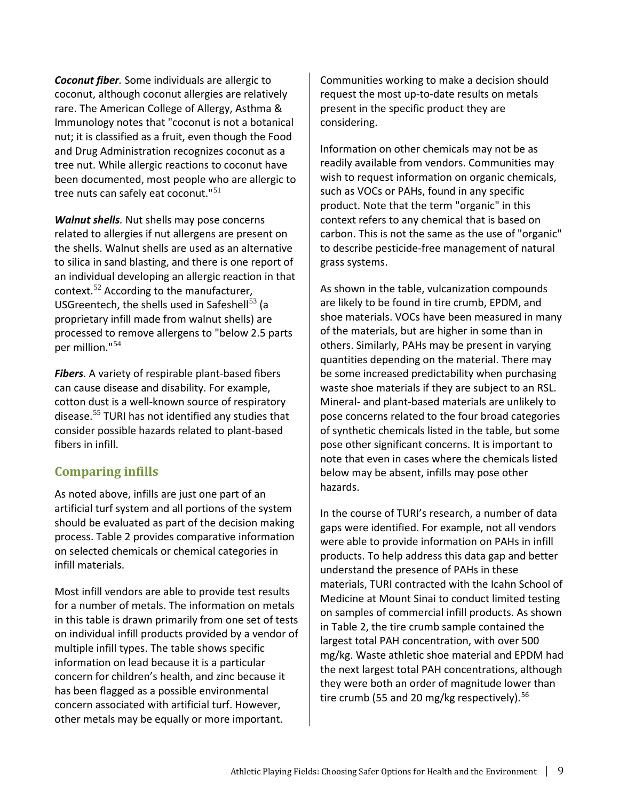*Coconut fiber.* Some individuals are allergic to coconut, although coconut allergies are relatively rare. The American College of Allergy, Asthma & Immunology notes that "coconut is not a botanical nut; it is classified as a fruit, even though the Food and Drug Administration recognizes coconut as a tree nut. While allergic reactions to coconut have been documented, most people who are allergic to tree nuts can safely eat coconut."<sup>[51](#page-25-45)</sup>

*Walnut shells.* Nut shells may pose concerns related to allergies if nut allergens are present on the shells. Walnut shells are used as an alternative to silica in sand blasting, and there is one report of an individual developing an allergic reaction in that context.[52](#page-25-46) According to the manufacturer, USGreentech, the shells used in Safeshell<sup>[53](#page-25-47)</sup> (a proprietary infill made from walnut shells) are processed to remove allergens to "below 2.5 parts per million."[54](#page-25-17)

*Fibers.* A variety of respirable plant-based fibers can cause disease and disability. For example, cotton dust is a well-known source of respiratory disease.[55](#page-25-48) TURI has not identified any studies that consider possible hazards related to plant-based fibers in infill.

#### **Comparing infills**

As noted above, infills are just one part of an artificial turf system and all portions of the system should be evaluated as part of the decision making process. Table 2 provides comparative information on selected chemicals or chemical categories in infill materials.

Most infill vendors are able to provide test results for a number of metals. The information on metals in this table is drawn primarily from one set of tests on individual infill products provided by a vendor of multiple infill types. The table shows specific information on lead because it is a particular concern for children's health, and zinc because it has been flagged as a possible environmental concern associated with artificial turf. However, other metals may be equally or more important.

Communities working to make a decision should request the most up-to-date results on metals present in the specific product they are considering.

Information on other chemicals may not be as readily available from vendors. Communities may wish to request information on organic chemicals, such as VOCs or PAHs, found in any specific product. Note that the term "organic" in this context refers to any chemical that is based on carbon. This is not the same as the use of "organic" to describe pesticide-free management of natural grass systems.

As shown in the table, vulcanization compounds are likely to be found in tire crumb, EPDM, and shoe materials. VOCs have been measured in many of the materials, but are higher in some than in others. Similarly, PAHs may be present in varying quantities depending on the material. There may be some increased predictability when purchasing waste shoe materials if they are subject to an RSL. Mineral- and plant-based materials are unlikely to pose concerns related to the four broad categories of synthetic chemicals listed in the table, but some pose other significant concerns. It is important to note that even in cases where the chemicals listed below may be absent, infills may pose other hazards.

In the course of TURI's research, a number of data gaps were identified. For example, not all vendors were able to provide information on PAHs in infill products. To help address this data gap and better understand the presence of PAHs in these materials, TURI contracted with the Icahn School of Medicine at Mount Sinai to conduct limited testing on samples of commercial infill products. As shown in Table 2, the tire crumb sample contained the largest total PAH concentration, with over 500 mg/kg. Waste athletic shoe material and EPDM had the next largest total PAH concentrations, although they were both an order of magnitude lower than tire crumb (55 and 20 mg/kg respectively).<sup>[56](#page-25-18)</sup>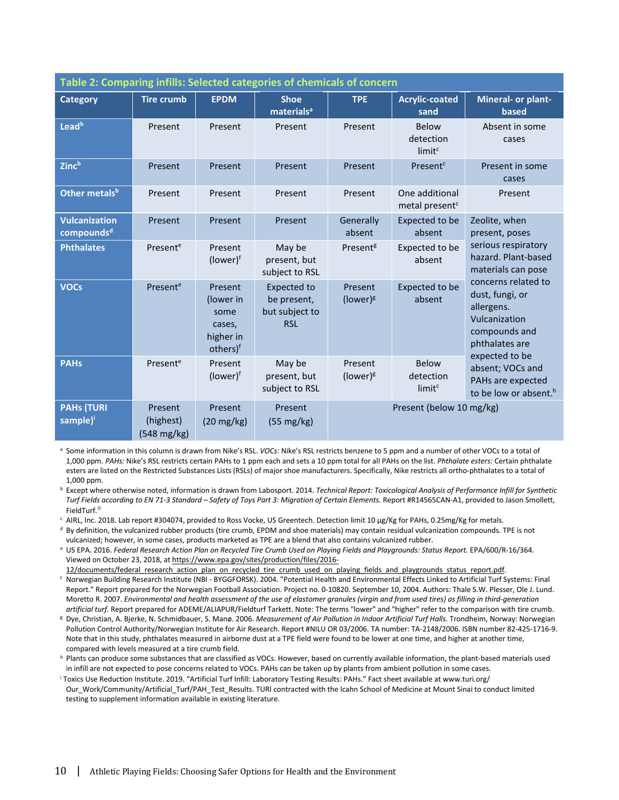| Table 2: Comparing infills: Selected categories of chemicals of concern |                                               |                                                                             |                                                                   |                               |                                                 |                                                                                                                                                                                                          |  |
|-------------------------------------------------------------------------|-----------------------------------------------|-----------------------------------------------------------------------------|-------------------------------------------------------------------|-------------------------------|-------------------------------------------------|----------------------------------------------------------------------------------------------------------------------------------------------------------------------------------------------------------|--|
| <b>Category</b>                                                         | <b>Tire crumb</b>                             | <b>EPDM</b>                                                                 | <b>Shoe</b><br>materials <sup>a</sup>                             | <b>TPE</b>                    | <b>Acrylic-coated</b><br>sand                   | Mineral- or plant-<br>based                                                                                                                                                                              |  |
| Lead <sup>b</sup>                                                       | Present                                       | Present                                                                     | Present                                                           | Present                       | <b>Below</b><br>detection<br>limit <sup>c</sup> | Absent in some<br>cases                                                                                                                                                                                  |  |
| <b>Zinc</b> b                                                           | Present                                       | Present                                                                     | Present                                                           | <b>Present</b>                | Present <sup>c</sup>                            | Present in some<br>cases                                                                                                                                                                                 |  |
| Other metals <sup>b</sup>                                               | Present                                       | Present                                                                     | Present                                                           | Present                       | One additional<br>metal present <sup>c</sup>    | Present                                                                                                                                                                                                  |  |
| <b>Vulcanization</b><br>compounds <sup>d</sup>                          | Present                                       | Present                                                                     | Present                                                           | Generally<br>absent           | <b>Expected to be</b><br>absent                 | Zeolite, when<br>present, poses<br>serious respiratory<br>hazard, Plant-based<br>materials can pose                                                                                                      |  |
| <b>Phthalates</b>                                                       | Present <sup>e</sup>                          | Present<br>$(lower)^{\dagger}$                                              | May be<br>present, but<br>subject to RSL                          | Present <sup>g</sup>          | Expected to be<br>absent                        |                                                                                                                                                                                                          |  |
| <b>VOCs</b>                                                             | Present <sup>e</sup>                          | Present<br>(lower in<br>some<br>cases,<br>higher in<br>others) <sup>f</sup> | <b>Expected to</b><br>be present,<br>but subject to<br><b>RSL</b> | <b>Present</b><br>(lower) $g$ | Expected to be<br>absent                        | concerns related to<br>dust, fungi, or<br>allergens.<br>Vulcanization<br>compounds and<br>phthalates are<br>expected to be<br>absent; VOCs and<br>PAHs are expected<br>to be low or absent. <sup>h</sup> |  |
| <b>PAHs</b>                                                             | Present <sup>e</sup>                          | Present<br>$(lower)^f$                                                      | May be<br>present, but<br>subject to RSL                          | Present<br>(lower) $g$        | <b>Below</b><br>detection<br>limit <sup>c</sup> |                                                                                                                                                                                                          |  |
| <b>PAHs (TURI</b><br>sample) <sup>i</sup>                               | Present<br>(highest)<br>$(548 \text{ mg/kg})$ | Present<br>$(20 \text{ mg/kg})$                                             | Present<br>$(55 \text{ mg/kg})$                                   | Present (below 10 mg/kg)      |                                                 |                                                                                                                                                                                                          |  |

<sup>a</sup> Some information in this column is drawn from Nike's RSL. *VOCs:* Nike's RSL restricts benzene to 5 ppm and a number of other VOCs to a total of 1,000 ppm. *PAHs:* Nike's RSL restricts certain PAHs to 1 ppm each and sets a 10 ppm total for all PAHs on the list. *Phthalate esters:* Certain phthalate esters are listed on the Restricted Substances Lists (RSLs) of major shoe manufacturers. Specifically, Nike restricts all ortho-phthalates to a total of 1,000 ppm.

<sup>b</sup> Except where otherwise noted, information is drawn from Labosport. 2014. *Technical Report: Toxicological Analysis of Performance Infill for Synthetic*  Turf Fields according to EN 71-3 Standard - Safety of Toys Part 3: Migration of Certain Elements. Report #R14565CAN-A1, provided to Jason Smollett, FieldTurf<sup>®</sup>

- <sup>c</sup> AIRL, Inc. 2018. Lab report #304074, provided to Ross Vocke, US Greentech. Detection limit 10 µg/Kg for PAHs, 0.25mg/Kg for metals.<br><sup>d</sup> By definition, the vulcanized rubber products (tire crumb, EPDM and shoe materials vulcanized; however, in some cases, products marketed as TPE are a blend that also contains vulcanized rubber.
- <sup>e</sup> US EPA. 2016. *Federal Research Action Plan on Recycled Tire Crumb Used on Playing Fields and Playgrounds: Status Report.* EPA/600/R-16/364. Viewed on October 23, 2018, a[t https://www.epa.gov/sites/production/files/2016-](https://www.epa.gov/sites/production/files/2016-12/documents/federal_research_action_plan_on_recycled_tire_crumb_used_on_playing_fields_and_playgrounds_status_report.pdf)
- 12/documents/federal research action plan on recycled tire crumb used on playing fields and playgrounds status report.pdf. <sup>f</sup> Norwegian Building Research Institute (NBI - BYGGFORSK). 2004. "Potential Health and Environmental Effects Linked to Artificial Turf Systems: Final Report." Report prepared for the Norwegian Football Association. Project no. 0-10820. September 10, 2004. Authors: Thale S.W. Plesser, Ole J. Lund. Moretto R. 2007. *Environmental and health assessment of the use of elastomer granules (virgin and from used tires) as filling in third-generation artificial turf.* Report prepared for ADEME/ALIAPUR/Fieldturf Tarkett. Note: The terms "lower" and "higher" refer to the comparison with tire crumb.
- <sup>g</sup> Dye, Christian, A. Bjerke, N. Schmidbauer, S. Manø. 2006. *Measurement of Air Pollution in Indoor Artificial Turf Halls.* Trondheim, Norway: Norwegian Pollution Control Authority/Norwegian Institute for Air Research. Report #NILU OR 03/2006. TA number: TA-2148/2006. ISBN number 82-425-1716-9. Note that in this study, phthalates measured in airborne dust at a TPE field were found to be lower at one time, and higher at another time, compared with levels measured at a tire crumb field.
- h Plants can produce some substances that are classified as VOCs. However, based on currently available information, the plant-based materials used in infill are not expected to pose concerns related to VOCs. PAHs can be taken up by plants from ambient pollution in some cases.

<sup>i</sup> Toxics Use Reduction Institute. 2019. "Artificial Turf Infill: Laboratory Testing Results: PAHs." Fact sheet available at www.turi.org/ Our\_Work/Community/Artificial\_Turf/PAH\_Test\_Results. TURI contracted with the Icahn School of Medicine at Mount Sinai to conduct limited testing to supplement information available in existing literature.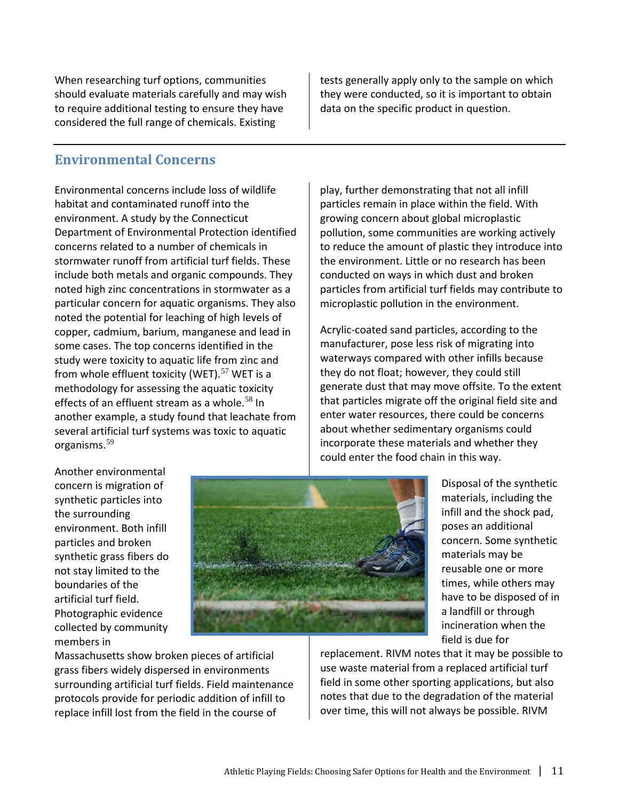When researching turf options, communities should evaluate materials carefully and may wish to require additional testing to ensure they have considered the full range of chemicals. Existing

tests generally apply only to the sample on which they were conducted, so it is important to obtain data on the specific product in question.

#### **Environmental Concerns**

Environmental concerns include loss of wildlife habitat and contaminated runoff into the environment. A study by the Connecticut Department of Environmental Protection identified concerns related to a number of chemicals in stormwater runoff from artificial turf fields. These include both metals and organic compounds. They noted high zinc concentrations in stormwater as a particular concern for aquatic organisms. They also noted the potential for leaching of high levels of copper, cadmium, barium, manganese and lead in some cases. The top concerns identified in the study were toxicity to aquatic life from zinc and from whole effluent toxicity (WET).<sup>[57](#page-25-49)</sup> WET is a methodology for assessing the aquatic toxicity effects of an effluent stream as a whole.<sup>[58](#page-25-20)</sup> In another example, a study found that leachate from several artificial turf systems was toxic to aquatic organisms.[59](#page-25-50)

play, further demonstrating that not all infill particles remain in place within the field. With growing concern about global microplastic pollution, some communities are working actively to reduce the amount of plastic they introduce into the environment. Little or no research has been conducted on ways in which dust and broken particles from artificial turf fields may contribute to microplastic pollution in the environment.

Acrylic-coated sand particles, according to the manufacturer, pose less risk of migrating into waterways compared with other infills because they do not float; however, they could still generate dust that may move offsite. To the extent that particles migrate off the original field site and enter water resources, there could be concerns about whether sedimentary organisms could incorporate these materials and whether they could enter the food chain in this way.

Another environmental concern is migration of synthetic particles into the surrounding environment. Both infill particles and broken synthetic grass fibers do not stay limited to the boundaries of the artificial turf field. Photographic evidence collected by community members in



Disposal of the synthetic materials, including the infill and the shock pad, poses an additional concern. Some synthetic materials may be reusable one or more times, while others may have to be disposed of in a landfill or through incineration when the field is due for

Massachusetts show broken pieces of artificial grass fibers widely dispersed in environments surrounding artificial turf fields. Field maintenance protocols provide for periodic addition of infill to replace infill lost from the field in the course of

replacement. RIVM notes that it may be possible to use waste material from a replaced artificial turf field in some other sporting applications, but also notes that due to the degradation of the material over time, this will not always be possible. RIVM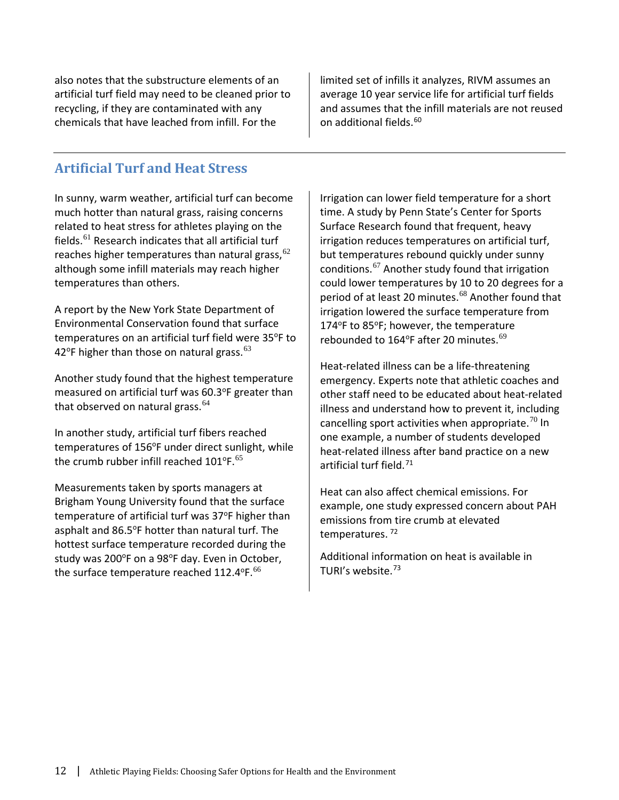also notes that the substructure elements of an artificial turf field may need to be cleaned prior to recycling, if they are contaminated with any chemicals that have leached from infill. For the

limited set of infills it analyzes, RIVM assumes an average 10 year service life for artificial turf fields and assumes that the infill materials are not reused on additional fields.<sup>[60](#page-25-51)</sup>

## **Artificial Turf and Heat Stress**

In sunny, warm weather, artificial turf can become much hotter than natural grass, raising concerns related to heat stress for athletes playing on the fields.[61](#page-25-25) Research indicates that all artificial turf reaches higher temperatures than natural grass,  $62$ although some infill materials may reach higher temperatures than others.

A report by the New York State Department of Environmental Conservation found that surface temperatures on an artificial turf field were 35°F to 42°F higher than those on natural grass.<sup>[63](#page-25-26)</sup>

Another study found that the highest temperature measured on artificial turf was 60.3°F greater than that observed on natural grass.  $64$ 

In another study, artificial turf fibers reached temperatures of 156°F under direct sunlight, while the crumb rubber infill reached  $101^{\circ}$ F.<sup>[65](#page-25-54)</sup>

Measurements taken by sports managers at Brigham Young University found that the surface temperature of artificial turf was 37°F higher than asphalt and 86.5°F hotter than natural turf. The hottest surface temperature recorded during the study was 200°F on a 98°F day. Even in October, the surface temperature reached 112.4 $^{\circ}$ F.<sup>[66](#page-25-27)</sup>

Irrigation can lower field temperature for a short time. A study by Penn State's Center for Sports Surface Research found that frequent, heavy irrigation reduces temperatures on artificial turf, but temperatures rebound quickly under sunny conditions.[67](#page-25-28) Another study found that irrigation could lower temperatures by 10 to 20 degrees for a period of at least 20 minutes.<sup>[68](#page-25-29)</sup> Another found that irrigation lowered the surface temperature from 174 $\degree$ F to 85 $\degree$ F; however, the temperature rebounded to 164°F after 20 minutes.<sup>[69](#page-25-55)</sup>

Heat-related illness can be a life-threatening emergency. Experts note that athletic coaches and other staff need to be educated about heat-related illness and understand how to prevent it, including cancelling sport activities when appropriate.<sup>[70](#page-25-30)</sup> In one example, a number of students developed heat-related illness after band practice on a new artificial turf field. [71](#page-25-34)

Heat can also affect chemical emissions. For example, one study expressed concern about PAH emissions from tire crumb at elevated temperatures. [72](#page-25-36)

Additional information on heat is available in TURI's website.<sup>[73](#page-25-37)</sup>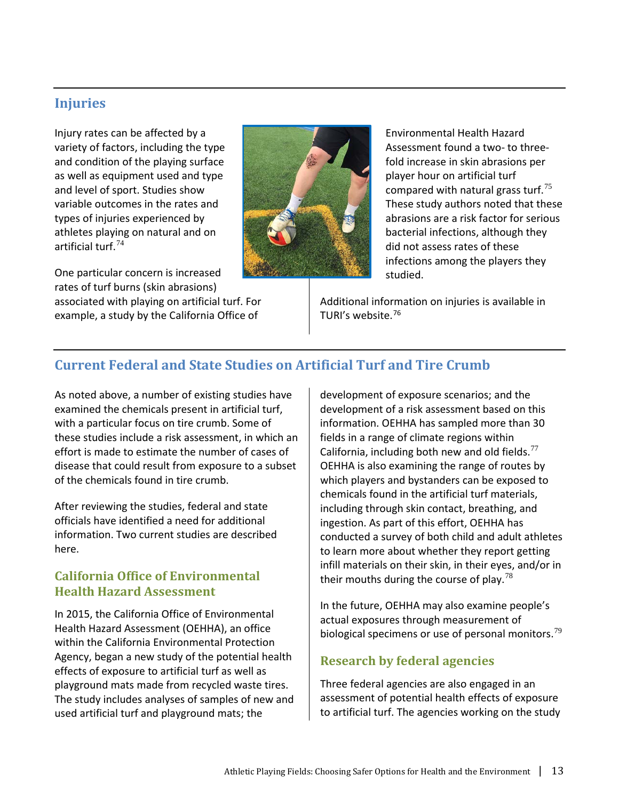## **Injuries**

Injury rates can be affected by a variety of factors, including the type and condition of the playing surface as well as equipment used and type and level of sport. Studies show variable outcomes in the rates and types of injuries experienced by athletes playing on natural and on artificial turf.[74](#page-25-38)

One particular concern is increased rates of turf burns (skin abrasions) associated with playing on artificial turf. For example, a study by the California Office of



Environmental Health Hazard Assessment found a two- to threefold increase in skin abrasions per player hour on artificial turf compared with natural grass turf.<sup>[75](#page-25-40)</sup> These study authors noted that these abrasions are a risk factor for serious bacterial infections, although they did not assess rates of these infections among the players they studied.

Additional information on injuries is available in TURI's website.[76](#page-25-56)

# **Current Federal and State Studies on Artificial Turf and Tire Crumb**

As noted above, a number of existing studies have examined the chemicals present in artificial turf, with a particular focus on tire crumb. Some of these studies include a risk assessment, in which an effort is made to estimate the number of cases of disease that could result from exposure to a subset of the chemicals found in tire crumb.

After reviewing the studies, federal and state officials have identified a need for additional information. Two current studies are described here.

## **California Office of Environmental Health Hazard Assessment**

In 2015, the California Office of Environmental Health Hazard Assessment (OEHHA), an office within the California Environmental Protection Agency, began a new study of the potential health effects of exposure to artificial turf as well as playground mats made from recycled waste tires. The study includes analyses of samples of new and used artificial turf and playground mats; the

development of exposure scenarios; and the development of a risk assessment based on this information. OEHHA has sampled more than 30 fields in a range of climate regions within California, including both new and old fields. $^{77}$  $^{77}$  $^{77}$ OEHHA is also examining the range of routes by which players and bystanders can be exposed to chemicals found in the artificial turf materials, including through skin contact, breathing, and ingestion. As part of this effort, OEHHA has conducted a survey of both child and adult athletes to learn more about whether they report getting infill materials on their skin, in their eyes, and/or in their mouths during the course of play.<sup>[78](#page-25-57)</sup>

In the future, OEHHA may also examine people's actual exposures through measurement of biological specimens or use of personal monitors.<sup>[79](#page-25-14)</sup>

# **Research by federal agencies**

Three federal agencies are also engaged in an assessment of potential health effects of exposure to artificial turf. The agencies working on the study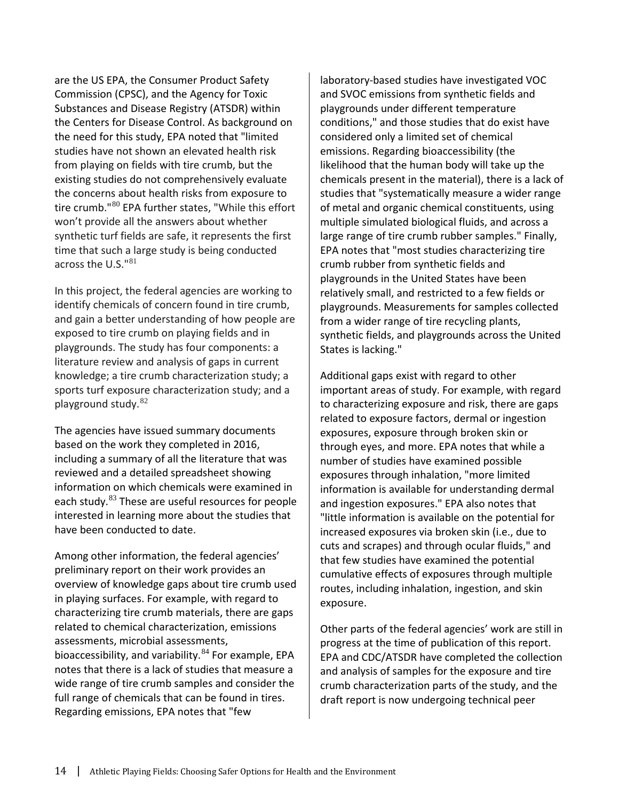are the US EPA, the Consumer Product Safety Commission (CPSC), and the Agency for Toxic Substances and Disease Registry (ATSDR) within the Centers for Disease Control. As background on the need for this study, EPA noted that "limited studies have not shown an elevated health risk from playing on fields with tire crumb, but the existing studies do not comprehensively evaluate the concerns about health risks from exposure to tire crumb."[80](#page-25-46) EPA further states, "While this effort won't provide all the answers about whether synthetic turf fields are safe, it represents the first time that such a large study is being conducted across the U.S."[81](#page-25-47)

In this project, the federal agencies are working to identify chemicals of concern found in tire crumb, and gain a better understanding of how people are exposed to tire crumb on playing fields and in playgrounds. The study has four components: a literature review and analysis of gaps in current knowledge; a tire crumb characterization study; a sports turf exposure characterization study; and a playground study. [82](#page-25-48)

The agencies have issued summary documents based on the work they completed in 2016, including a summary of all the literature that was reviewed and a detailed spreadsheet showing information on which chemicals were examined in each study.<sup>[83](#page-25-58)</sup> These are useful resources for people interested in learning more about the studies that have been conducted to date.

Among other information, the federal agencies' preliminary report on their work provides an overview of knowledge gaps about tire crumb used in playing surfaces. For example, with regard to characterizing tire crumb materials, there are gaps related to chemical characterization, emissions assessments, microbial assessments, bioaccessibility, and variability.<sup>[84](#page-25-19)</sup> For example, EPA notes that there is a lack of studies that measure a wide range of tire crumb samples and consider the full range of chemicals that can be found in tires. Regarding emissions, EPA notes that "few

laboratory-based studies have investigated VOC and SVOC emissions from synthetic fields and playgrounds under different temperature conditions," and those studies that do exist have considered only a limited set of chemical emissions. Regarding bioaccessibility (the likelihood that the human body will take up the chemicals present in the material), there is a lack of studies that "systematically measure a wider range of metal and organic chemical constituents, using multiple simulated biological fluids, and across a large range of tire crumb rubber samples." Finally, EPA notes that "most studies characterizing tire crumb rubber from synthetic fields and playgrounds in the United States have been relatively small, and restricted to a few fields or playgrounds. Measurements for samples collected from a wider range of tire recycling plants, synthetic fields, and playgrounds across the United States is lacking."

Additional gaps exist with regard to other important areas of study. For example, with regard to characterizing exposure and risk, there are gaps related to exposure factors, dermal or ingestion exposures, exposure through broken skin or through eyes, and more. EPA notes that while a number of studies have examined possible exposures through inhalation, "more limited information is available for understanding dermal and ingestion exposures." EPA also notes that "little information is available on the potential for increased exposures via broken skin (i.e., due to cuts and scrapes) and through ocular fluids," and that few studies have examined the potential cumulative effects of exposures through multiple routes, including inhalation, ingestion, and skin exposure.

Other parts of the federal agencies' work are still in progress at the time of publication of this report. EPA and CDC/ATSDR have completed the collection and analysis of samples for the exposure and tire crumb characterization parts of the study, and the draft report is now undergoing technical peer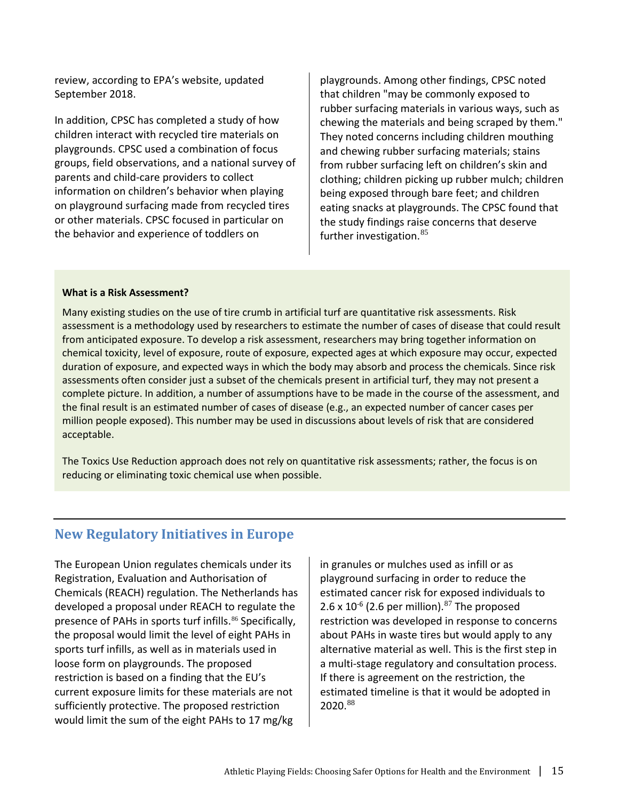review, according to EPA's website, updated September 2018.

In addition, CPSC has completed a study of how children interact with recycled tire materials on playgrounds. CPSC used a combination of focus groups, field observations, and a national survey of parents and child-care providers to collect information on children's behavior when playing on playground surfacing made from recycled tires or other materials. CPSC focused in particular on the behavior and experience of toddlers on

playgrounds. Among other findings, CPSC noted that children "may be commonly exposed to rubber surfacing materials in various ways, such as chewing the materials and being scraped by them." They noted concerns including children mouthing and chewing rubber surfacing materials; stains from rubber surfacing left on children's skin and clothing; children picking up rubber mulch; children being exposed through bare feet; and children eating snacks at playgrounds. The CPSC found that the study findings raise concerns that deserve further investigation. [85](#page-25-20)

#### **What is a Risk Assessment?**

Many existing studies on the use of tire crumb in artificial turf are quantitative risk assessments. Risk assessment is a methodology used by researchers to estimate the number of cases of disease that could result from anticipated exposure. To develop a risk assessment, researchers may bring together information on chemical toxicity, level of exposure, route of exposure, expected ages at which exposure may occur, expected duration of exposure, and expected ways in which the body may absorb and process the chemicals. Since risk assessments often consider just a subset of the chemicals present in artificial turf, they may not present a complete picture. In addition, a number of assumptions have to be made in the course of the assessment, and the final result is an estimated number of cases of disease (e.g., an expected number of cancer cases per million people exposed). This number may be used in discussions about levels of risk that are considered acceptable.

The Toxics Use Reduction approach does not rely on quantitative risk assessments; rather, the focus is on reducing or eliminating toxic chemical use when possible.

#### **New Regulatory Initiatives in Europe**

The European Union regulates chemicals under its Registration, Evaluation and Authorisation of Chemicals (REACH) regulation. The Netherlands has developed a proposal under REACH to regulate the presence of PAHs in sports turf infills.<sup>[86](#page-25-22)</sup> Specifically, the proposal would limit the level of eight PAHs in sports turf infills, as well as in materials used in loose form on playgrounds. The proposed restriction is based on a finding that the EU's current exposure limits for these materials are not sufficiently protective. The proposed restriction would limit the sum of the eight PAHs to 17 mg/kg

in granules or mulches used as infill or as playground surfacing in order to reduce the estimated cancer risk for exposed individuals to 2.6 x 10<sup>-6</sup> (2.6 per million).<sup>[87](#page-25-59)</sup> The proposed restriction was developed in response to concerns about PAHs in waste tires but would apply to any alternative material as well. This is the first step in a multi-stage regulatory and consultation process. If there is agreement on the restriction, the estimated timeline is that it would be adopted in 2020.[88](#page-25-25)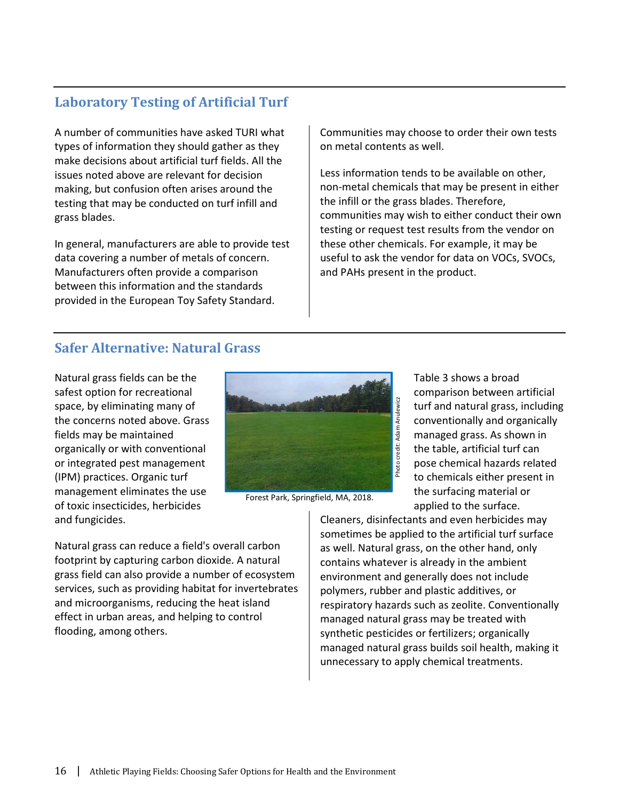# **Laboratory Testing of Artificial Turf**

A number of communities have asked TURI what types of information they should gather as they make decisions about artificial turf fields. All the issues noted above are relevant for decision making, but confusion often arises around the testing that may be conducted on turf infill and grass blades.

In general, manufacturers are able to provide test data covering a number of metals of concern. Manufacturers often provide a comparison between this information and the standards provided in the European Toy Safety Standard.

Communities may choose to order their own tests on metal contents as well.

Less information tends to be available on other, non-metal chemicals that may be present in either the infill or the grass blades. Therefore, communities may wish to either conduct their own testing or request test results from the vendor on these other chemicals. For example, it may be useful to ask the vendor for data on VOCs, SVOCs, and PAHs present in the product.

# **Safer Alternative: Natural Grass**

Natural grass fields can be the safest option for recreational space, by eliminating many of the concerns noted above. Grass fields may be maintained organically or with conventional or integrated pest management (IPM) practices. Organic turf management eliminates the use of toxic insecticides, herbicides and fungicides.



Forest Park, Springfield, MA, 2018.

Table 3 shows a broad comparison between artificial turf and natural grass, including conventionally and organically managed grass. As shown in the table, artificial turf can pose chemical hazards related to chemicals either present in the surfacing material or applied to the surface.

Natural grass can reduce a field's overall carbon footprint by capturing carbon dioxide. A natural grass field can also provide a number of ecosystem services, such as providing habitat for invertebrates and microorganisms, reducing the heat island effect in urban areas, and helping to control flooding, among others.

Cleaners, disinfectants and even herbicides may sometimes be applied to the artificial turf surface as well. Natural grass, on the other hand, only contains whatever is already in the ambient environment and generally does not include polymers, rubber and plastic additives, or respiratory hazards such as zeolite. Conventionally managed natural grass may be treated with synthetic pesticides or fertilizers; organically managed natural grass builds soil health, making it unnecessary to apply chemical treatments.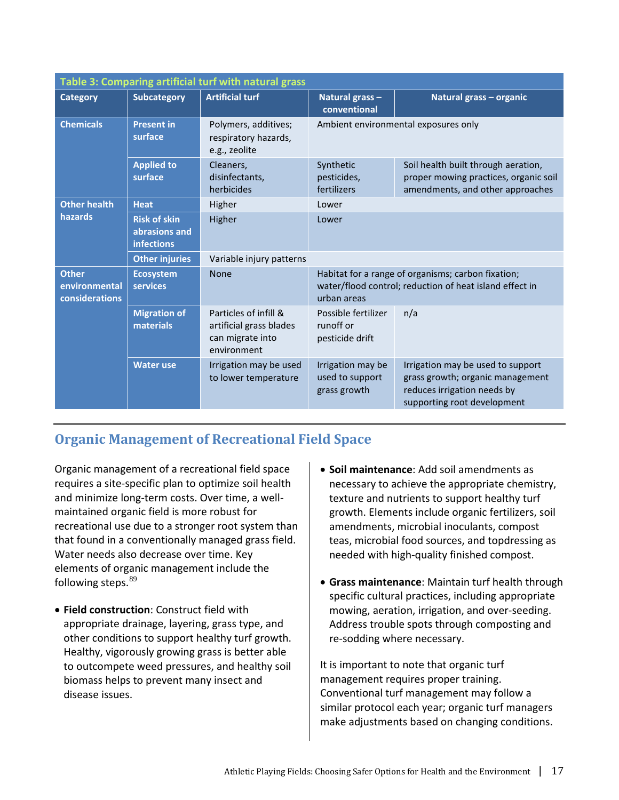| Table 3: Comparing artificial turf with natural grass |                                                           |                                                                                                                                             |                                                      |                                                                                                                                     |  |  |  |
|-------------------------------------------------------|-----------------------------------------------------------|---------------------------------------------------------------------------------------------------------------------------------------------|------------------------------------------------------|-------------------------------------------------------------------------------------------------------------------------------------|--|--|--|
| <b>Category</b>                                       | <b>Subcategory</b>                                        | <b>Artificial turf</b>                                                                                                                      | Natural grass-<br>conventional                       | Natural grass - organic                                                                                                             |  |  |  |
| <b>Chemicals</b>                                      | <b>Present in</b><br>surface                              | Polymers, additives;<br>respiratory hazards,<br>e.g., zeolite                                                                               | Ambient environmental exposures only                 |                                                                                                                                     |  |  |  |
|                                                       | <b>Applied to</b><br>surface                              | Cleaners,<br>disinfectants,<br>herbicides                                                                                                   | Synthetic<br>pesticides,<br>fertilizers              | Soil health built through aeration,<br>proper mowing practices, organic soil<br>amendments, and other approaches                    |  |  |  |
| <b>Other health</b>                                   | <b>Heat</b>                                               | Higher                                                                                                                                      | Lower                                                |                                                                                                                                     |  |  |  |
| <b>hazards</b>                                        | <b>Risk of skin</b><br>abrasions and<br><b>infections</b> | Higher                                                                                                                                      | Lower                                                |                                                                                                                                     |  |  |  |
|                                                       | <b>Other injuries</b>                                     | Variable injury patterns                                                                                                                    |                                                      |                                                                                                                                     |  |  |  |
| <b>Other</b><br>environmental<br>considerations       | <b>Ecosystem</b><br>services                              | Habitat for a range of organisms; carbon fixation;<br><b>None</b><br>water/flood control; reduction of heat island effect in<br>urban areas |                                                      |                                                                                                                                     |  |  |  |
|                                                       | <b>Migration of</b><br>materials                          | Particles of infill &<br>artificial grass blades<br>can migrate into<br>environment                                                         | Possible fertilizer<br>runoff or<br>pesticide drift  | n/a                                                                                                                                 |  |  |  |
|                                                       | <b>Water use</b>                                          | Irrigation may be used<br>to lower temperature                                                                                              | Irrigation may be<br>used to support<br>grass growth | Irrigation may be used to support<br>grass growth; organic management<br>reduces irrigation needs by<br>supporting root development |  |  |  |

# **Organic Management of Recreational Field Space**

Organic management of a recreational field space requires a site-specific plan to optimize soil health and minimize long-term costs. Over time, a wellmaintained organic field is more robust for recreational use due to a stronger root system than that found in a conventionally managed grass field. Water needs also decrease over time. Key elements of organic management include the following steps. <sup>[89](#page-25-52)</sup>

- **Field construction**: Construct field with appropriate drainage, layering, grass type, and other conditions to support healthy turf growth. Healthy, vigorously growing grass is better able to outcompete weed pressures, and healthy soil biomass helps to prevent many insect and disease issues.
- **Soil maintenance**: Add soil amendments as necessary to achieve the appropriate chemistry, texture and nutrients to support healthy turf growth. Elements include organic fertilizers, soil amendments, microbial inoculants, compost teas, microbial food sources, and topdressing as needed with high-quality finished compost.
- **Grass maintenance**: Maintain turf health through specific cultural practices, including appropriate mowing, aeration, irrigation, and over-seeding. Address trouble spots through composting and re-sodding where necessary.

It is important to note that organic turf management requires proper training. Conventional turf management may follow a similar protocol each year; organic turf managers make adjustments based on changing conditions.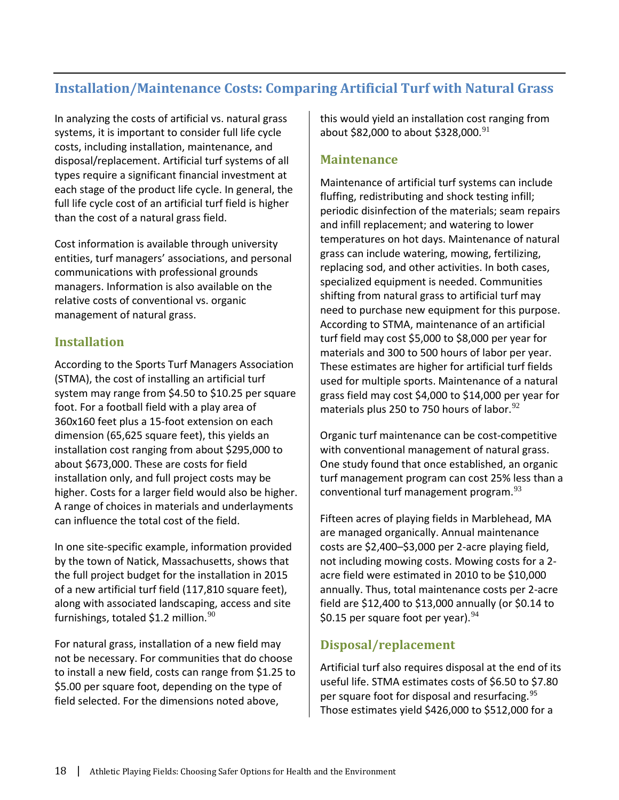# **Installation/Maintenance Costs: Comparing Artificial Turf with Natural Grass**

In analyzing the costs of artificial vs. natural grass systems, it is important to consider full life cycle costs, including installation, maintenance, and disposal/replacement. Artificial turf systems of all types require a significant financial investment at each stage of the product life cycle. In general, the full life cycle cost of an artificial turf field is higher than the cost of a natural grass field.

Cost information is available through university entities, turf managers' associations, and personal communications with professional grounds managers. Information is also available on the relative costs of conventional vs. organic management of natural grass.

## **Installation**

According to the Sports Turf Managers Association (STMA), the cost of installing an artificial turf system may range from \$4.50 to \$10.25 per square foot. For a football field with a play area of 360x160 feet plus a 15-foot extension on each dimension (65,625 square feet), this yields an installation cost ranging from about \$295,000 to about \$673,000. These are costs for field installation only, and full project costs may be higher. Costs for a larger field would also be higher. A range of choices in materials and underlayments can influence the total cost of the field.

In one site-specific example, information provided by the town of Natick, Massachusetts, shows that the full project budget for the installation in 2015 of a new artificial turf field (117,810 square feet), along with associated landscaping, access and site furnishings, totaled \$1.2 million. $90$ 

For natural grass, installation of a new field may not be necessary. For communities that do choose to install a new field, costs can range from \$1.25 to \$5.00 per square foot, depending on the type of field selected. For the dimensions noted above,

this would yield an installation cost ranging from about \$82,000 to about \$328,000.<sup>[91](#page-25-60)</sup>

## **Maintenance**

Maintenance of artificial turf systems can include fluffing, redistributing and shock testing infill; periodic disinfection of the materials; seam repairs and infill replacement; and watering to lower temperatures on hot days. Maintenance of natural grass can include watering, mowing, fertilizing, replacing sod, and other activities. In both cases, specialized equipment is needed. Communities shifting from natural grass to artificial turf may need to purchase new equipment for this purpose. According to STMA, maintenance of an artificial turf field may cost \$5,000 to \$8,000 per year for materials and 300 to 500 hours of labor per year. These estimates are higher for artificial turf fields used for multiple sports. Maintenance of a natural grass field may cost \$4,000 to \$14,000 per year for materials plus 250 to 750 hours of labor. $92$ 

Organic turf maintenance can be cost-competitive with conventional management of natural grass. One study found that once established, an organic turf management program can cost 25% less than a conventional turf management program.<sup>[93](#page-25-30)</sup>

Fifteen acres of playing fields in Marblehead, MA are managed organically. Annual maintenance costs are \$2,400–\$3,000 per 2-acre playing field, not including mowing costs. Mowing costs for a 2 acre field were estimated in 2010 to be \$10,000 annually. Thus, total maintenance costs per 2-acre field are \$12,400 to \$13,000 annually (or \$0.14 to \$0.15 per square foot per year). $94$ 

## **Disposal/replacement**

Artificial turf also requires disposal at the end of its useful life. STMA estimates costs of \$6.50 to \$7.80 per square foot for disposal and resurfacing.[95](#page-25-32) Those estimates yield \$426,000 to \$512,000 for a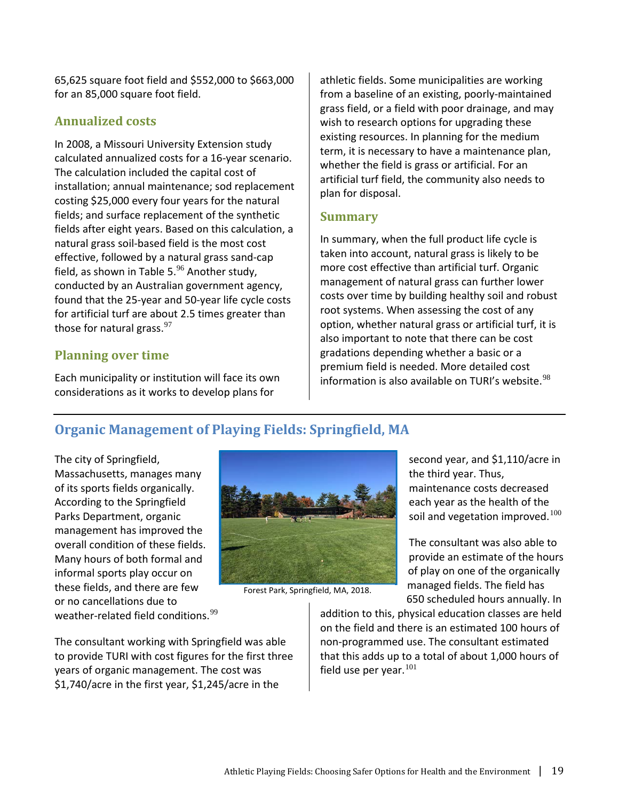65,625 square foot field and \$552,000 to \$663,000 for an 85,000 square foot field.

#### **Annualized costs**

In 2008, a Missouri University Extension study calculated annualized costs for a 16-year scenario. The calculation included the capital cost of installation; annual maintenance; sod replacement costing \$25,000 every four years for the natural fields; and surface replacement of the synthetic fields after eight years. Based on this calculation, a natural grass soil-based field is the most cost effective, followed by a natural grass sand-cap field, as shown in Table 5.<sup>[96](#page-25-33)</sup> Another study, conducted by an Australian government agency, found that the 25-year and 50-year life cycle costs for artificial turf are about 2.5 times greater than those for natural grass. $97$ 

#### **Planning over time**

Each municipality or institution will face its own considerations as it works to develop plans for

athletic fields. Some municipalities are working from a baseline of an existing, poorly-maintained grass field, or a field with poor drainage, and may wish to research options for upgrading these existing resources. In planning for the medium term, it is necessary to have a maintenance plan, whether the field is grass or artificial. For an artificial turf field, the community also needs to plan for disposal.

#### **Summary**

In summary, when the full product life cycle is taken into account, natural grass is likely to be more cost effective than artificial turf. Organic management of natural grass can further lower costs over time by building healthy soil and robust root systems. When assessing the cost of any option, whether natural grass or artificial turf, it is also important to note that there can be cost gradations depending whether a basic or a premium field is needed. More detailed cost information is also available on TURI's website.  $98$ 

# **Organic Management of Playing Fields: Springfield, MA**

The city of Springfield, Massachusetts, manages many of its sports fields organically. According to the Springfield Parks Department, organic management has improved the overall condition of these fields. Many hours of both formal and informal sports play occur on these fields, and there are few or no cancellations due to weather-related field conditions.<sup>[99](#page-25-38)</sup>



Forest Park, Springfield, MA, 2018.

The consultant working with Springfield was able to provide TURI with cost figures for the first three years of organic management. The cost was \$1,740/acre in the first year, \$1,245/acre in the

second year, and \$1,110/acre in the third year. Thus, maintenance costs decreased each year as the health of the soil and vegetation improved. $100$ 

The consultant was also able to provide an estimate of the hours of play on one of the organically managed fields. The field has 650 scheduled hours annually. In

addition to this, physical education classes are held on the field and there is an estimated 100 hours of non-programmed use. The consultant estimated that this adds up to a total of about 1,000 hours of field use per year.  $^{101}$  $^{101}$  $^{101}$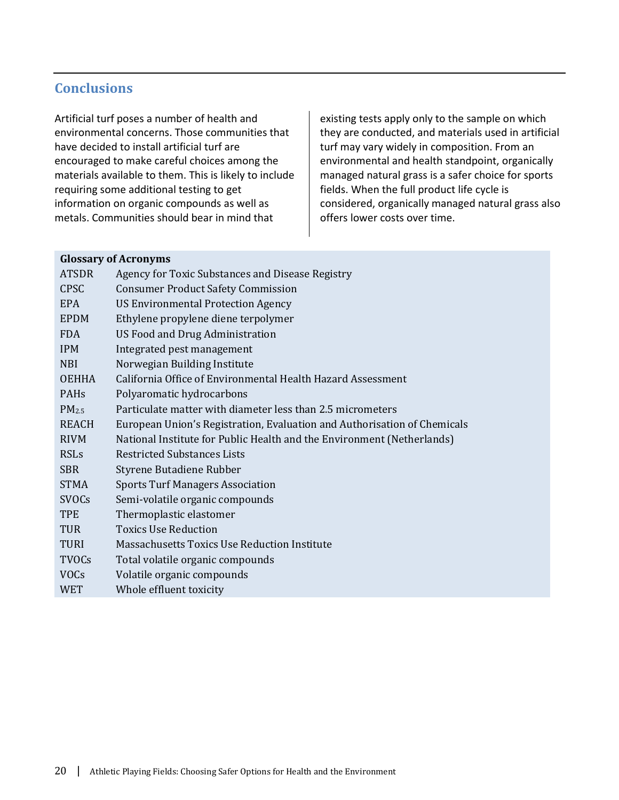## **Conclusions**

Artificial turf poses a number of health and environmental concerns. Those communities that have decided to install artificial turf are encouraged to make careful choices among the materials available to them. This is likely to include requiring some additional testing to get information on organic compounds as well as metals. Communities should bear in mind that

existing tests apply only to the sample on which they are conducted, and materials used in artificial turf may vary widely in composition. From an environmental and health standpoint, organically managed natural grass is a safer choice for sports fields. When the full product life cycle is considered, organically managed natural grass also offers lower costs over time.

#### **Glossary of Acronyms**

| <b>ATSDR</b>      | Agency for Toxic Substances and Disease Registry                         |
|-------------------|--------------------------------------------------------------------------|
| <b>CPSC</b>       | <b>Consumer Product Safety Commission</b>                                |
| EPA               | <b>US Environmental Protection Agency</b>                                |
| <b>EPDM</b>       | Ethylene propylene diene terpolymer                                      |
| <b>FDA</b>        | <b>US Food and Drug Administration</b>                                   |
| <b>IPM</b>        | Integrated pest management                                               |
| <b>NBI</b>        | Norwegian Building Institute                                             |
| <b>OEHHA</b>      | California Office of Environmental Health Hazard Assessment              |
| PAH <sub>s</sub>  | Polyaromatic hydrocarbons                                                |
| PM <sub>2.5</sub> | Particulate matter with diameter less than 2.5 micrometers               |
| <b>REACH</b>      | European Union's Registration, Evaluation and Authorisation of Chemicals |
| <b>RIVM</b>       | National Institute for Public Health and the Environment (Netherlands)   |
| <b>RSLs</b>       | <b>Restricted Substances Lists</b>                                       |
| <b>SBR</b>        | Styrene Butadiene Rubber                                                 |
| <b>STMA</b>       | <b>Sports Turf Managers Association</b>                                  |
| <b>SVOCs</b>      | Semi-volatile organic compounds                                          |
| <b>TPE</b>        | Thermoplastic elastomer                                                  |
| <b>TUR</b>        | <b>Toxics Use Reduction</b>                                              |
| <b>TURI</b>       | <b>Massachusetts Toxics Use Reduction Institute</b>                      |
| <b>TVOCs</b>      | Total volatile organic compounds                                         |
| <b>VOCs</b>       | Volatile organic compounds                                               |
| WET               | Whole effluent toxicity                                                  |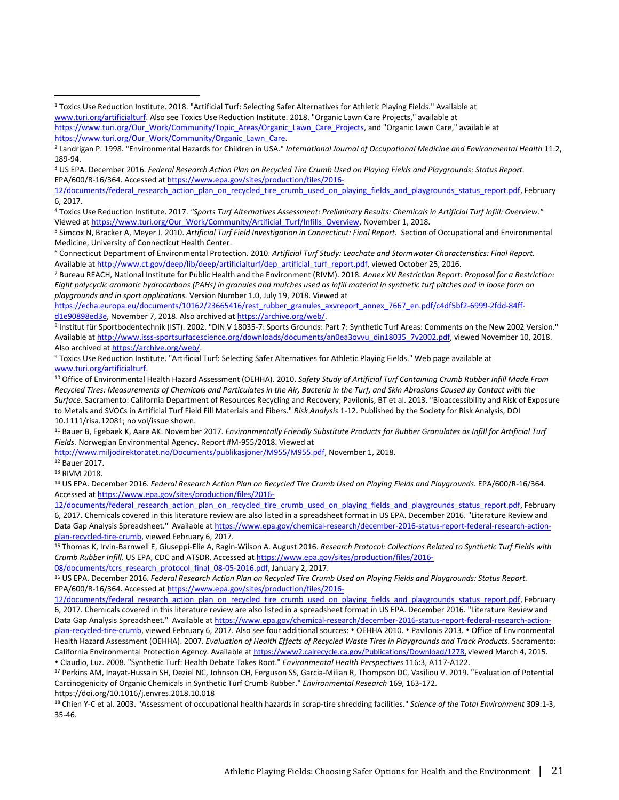<sup>8</sup> Institut für Sportbodentechnik (IST). 2002. "DIN V 18035-7: Sports Grounds: Part 7: Synthetic Turf Areas: Comments on the New 2002 Version." Available at http://www.isss-sportsurfacescience.org/downloads/documents/an0ea3ovvu din18035\_7v2002.pdf, viewed November 10, 2018. Also archived at [https://archive.org/web/.](https://archive.org/web/)

9 Toxics Use Reduction Institute. "Artificial Turf: Selecting Safer Alternatives for Athletic Playing Fields." Web page available at www.turi.org/artificialturf.

<sup>10</sup> Office of Environmental Health Hazard Assessment (OEHHA). 2010. *Safety Study of Artificial Turf Containing Crumb Rubber Infill Made From Recycled Tires: Measurements of Chemicals and Particulates in the Air, Bacteria in the Turf, and Skin Abrasions Caused by Contact with the Surface.* Sacramento: California Department of Resources Recycling and Recovery; Pavilonis, BT et al. 2013. "Bioaccessibility and Risk of Exposure to Metals and SVOCs in Artificial Turf Field Fill Materials and Fibers." *Risk Analysis* 1-12. Published by the Society for Risk Analysis, DOI 10.1111/risa.12081; no vol/issue shown.

<sup>11</sup> Bauer B, Egebaek K, Aare AK. November 2017. *Environmentally Friendly Substitute Products for Rubber Granulates as Infill for Artificial Turf Fields.* Norwegian Environmental Agency. Report #M-955/2018. Viewed at

[http://www.miljodirektoratet.no/Documents/publikasjoner/M955/M955.pdf,](http://www.miljodirektoratet.no/Documents/publikasjoner/M955/M955.pdf) November 1, 2018.

<sup>12</sup> Bauer 2017.<br><sup>13</sup> RIVM 2018.

 $\overline{a}$ 

<sup>14</sup> US EPA. December 2016. Federal Research Action Plan on Recycled Tire Crumb Used on Playing Fields and Playgrounds. EPA/600/R-16/364. Accessed a[t https://www.epa.gov/sites/production/files/2016-](https://www.epa.gov/sites/production/files/2016-12/documents/federal_research_action_plan_on_recycled_tire_crumb_used_on_playing_fields_and_playgrounds_status_report.pdf)

[12/documents/federal\\_research\\_action\\_plan\\_on\\_recycled\\_tire\\_crumb\\_used\\_on\\_playing\\_fields\\_and\\_playgrounds\\_status\\_report.pdf,](https://www.epa.gov/sites/production/files/2016-12/documents/federal_research_action_plan_on_recycled_tire_crumb_used_on_playing_fields_and_playgrounds_status_report.pdf) February 6, 2017. Chemicals covered in this literature review are also listed in a spreadsheet format in US EPA. December 2016. "Literature Review and Data Gap Analysis Spreadsheet." Available a[t https://www.epa.gov/chemical-research/december-2016-status-report-federal-research-action](https://www.epa.gov/chemical-research/december-2016-status-report-federal-research-action-plan-recycled-tire-crumb)[plan-recycled-tire-crumb,](https://www.epa.gov/chemical-research/december-2016-status-report-federal-research-action-plan-recycled-tire-crumb) viewed February 6, 2017.

<sup>15</sup> Thomas K, Irvin-Barnwell E, Giuseppi-Elie A, Ragin-Wilson A. August 2016. *Research Protocol: Collections Related to Synthetic Turf Fields with Crumb Rubber Infill.* US EPA, CDC and ATSDR. Accessed a[t https://www.epa.gov/sites/production/files/2016-](https://www.epa.gov/sites/production/files/2016-08/documents/tcrs_research_protocol_final_08-05-2016.pdf)

[08/documents/tcrs\\_research\\_protocol\\_final\\_08-05-2016.pdf,](https://www.epa.gov/sites/production/files/2016-08/documents/tcrs_research_protocol_final_08-05-2016.pdf) January 2, 2017.

<sup>16</sup> US EPA. December 2016. *Federal Research Action Plan on Recycled Tire Crumb Used on Playing Fields and Playgrounds: Status Report.*  EPA/600/R-16/364. Accessed a[t https://www.epa.gov/sites/production/files/2016-](https://www.epa.gov/sites/production/files/2016-12/documents/federal_research_action_plan_on_recycled_tire_crumb_used_on_playing_fields_and_playgrounds_status_report.pdf)

[plan-recycled-tire-crumb,](https://www.epa.gov/chemical-research/december-2016-status-report-federal-research-action-plan-recycled-tire-crumb) viewed February 6, 2017. Also see four additional sources: • OEHHA 2010. • Pavilonis 2013. • Office of Environmental Health Hazard Assessment (OEHHA). 2007. *Evaluation of Health Effects of Recycled Waste Tires in Playgrounds and Track Products.* Sacramento: California Environmental Protection Agency. Available a[t https://www2.calrecycle.ca.gov/Publications/Download/1278,](https://www2.calrecycle.ca.gov/Publications/Download/1278) viewed March 4, 2015. Claudio, Luz. 2008. "Synthetic Turf: Health Debate Takes Root." *Environmental Health Perspectives* 116:3, A117-A122.

<sup>17</sup> Perkins AM, Inayat-Hussain SH, Deziel NC, Johnson CH, Ferguson SS, Garcia-Milian R, Thompson DC, Vasiliou V. 2019. "Evaluation of Potential Carcinogenicity of Organic Chemicals in Synthetic Turf Crumb Rubber." *Environmental Research* 169, 163-172.

https://doi.org/10.1016/j.envres.2018.10.018

<sup>18</sup> Chien Y-C et al. 2003. "Assessment of occupational health hazards in scrap-tire shredding facilities." *Science of the Total Environment* 309:1-3, 35-46.

<sup>1</sup> Toxics Use Reduction Institute. 2018. "Artificial Turf: Selecting Safer Alternatives for Athletic Playing Fields." Available at [www.turi.org/artificialturf.](http://www.turi.org/artificialturf) Also see Toxics Use Reduction Institute. 2018. "Organic Lawn Care Projects," available at [https://www.turi.org/Our\\_Work/Community/Topic\\_Areas/Organic\\_Lawn\\_Care\\_Projects,](https://www.turi.org/Our_Work/Community/Topic_Areas/Organic_Lawn_Care_Projects) and "Organic Lawn Care," available at

[https://www.turi.org/Our\\_Work/Community/Organic\\_Lawn\\_Care.](https://www.turi.org/Our_Work/Community/Organic_Lawn_Care) <sup>2</sup> Landrigan P. 2 Landrigan P. 1998. "Environmental Health 11:2, <sup>2</sup> Landrigan P. 1998. "Environmental Health 11:2,

<sup>189-94.&</sup>lt;br><sup>3</sup> US EPA. December 2016. *Federal Research Action Plan on Recycled Tire Crumb Used on Playing Fields and Playgrounds: Status Report.* EPA/600/R-16/364. Accessed a[t https://www.epa.gov/sites/production/files/2016-](https://www.epa.gov/sites/production/files/2016-12/documents/federal_research_action_plan_on_recycled_tire_crumb_used_on_playing_fields_and_playgrounds_status_report.pdf)

<sup>12/</sup>documents/federal research action plan on recycled tire crumb used on playing fields and playgrounds status report.pdf, February 6, 2017.

<sup>4</sup> Toxics Use Reduction Institute. 2017. *"Sports Turf Alternatives Assessment: Preliminary Results: Chemicals in Artificial Turf Infill: Overview."* Viewed a[t https://www.turi.org/Our\\_Work/Community/Artificial\\_Turf/Infills\\_Overview,](https://www.turi.org/Our_Work/Community/Artificial_Turf/Infills_Overview) November 1, 2018.<br><sup>5</sup> Simcox N, Bracker A, Meyer J. 2010. Artificial Turf Field Investigation in Connecticut: Final Report. Section of Occ

Medicine, University of Connecticut Health Center.

<sup>6</sup> Connecticut Department of Environmental Protection. 2010. *Artificial Turf Study: Leachate and Stormwater Characteristics: Final Report.*  Available a[t http://www.ct.gov/deep/lib/deep/artificialturf/dep\\_artificial\\_turf\\_report.pdf,](http://www.ct.gov/deep/lib/deep/artificialturf/dep_artificial_turf_report.pdf) viewed October 25, 2016.<br>7 Bureau REACH, National Institute for Public Health and the Environment (RIVM). 2018. Annex XV Restricti

*Eight polycyclic aromatic hydrocarbons (PAHs) in granules and mulches used as infill material in synthetic turf pitches and in loose form on playgrounds and in sport applications.* Version Number 1.0, July 19, 2018. Viewed at

[https://echa.europa.eu/documents/10162/23665416/rest\\_rubber\\_granules\\_axvreport\\_annex\\_7667\\_en.pdf/c4df5bf2-6999-2fdd-84ff](https://echa.europa.eu/documents/10162/23665416/rest_rubber_granules_axvreport_annex_7667_en.pdf/c4df5bf2-6999-2fdd-84ff-d1e90898ed3e)[d1e90898ed3e,](https://echa.europa.eu/documents/10162/23665416/rest_rubber_granules_axvreport_annex_7667_en.pdf/c4df5bf2-6999-2fdd-84ff-d1e90898ed3e) November 7, 2018. Also archived at [https://archive.org/web/.](https://archive.org/web/)

[<sup>12/</sup>documents/federal\\_research\\_action\\_plan\\_on\\_recycled\\_tire\\_crumb\\_used\\_on\\_playing\\_fields\\_and\\_playgrounds\\_status\\_report.pdf,](https://www.epa.gov/sites/production/files/2016-12/documents/federal_research_action_plan_on_recycled_tire_crumb_used_on_playing_fields_and_playgrounds_status_report.pdf) February 6, 2017. Chemicals covered in this literature review are also listed in a spreadsheet format in US EPA. December 2016. "Literature Review and Data Gap Analysis Spreadsheet." Available a[t https://www.epa.gov/chemical-research/december-2016-status-report-federal-research-action-](https://www.epa.gov/chemical-research/december-2016-status-report-federal-research-action-plan-recycled-tire-crumb)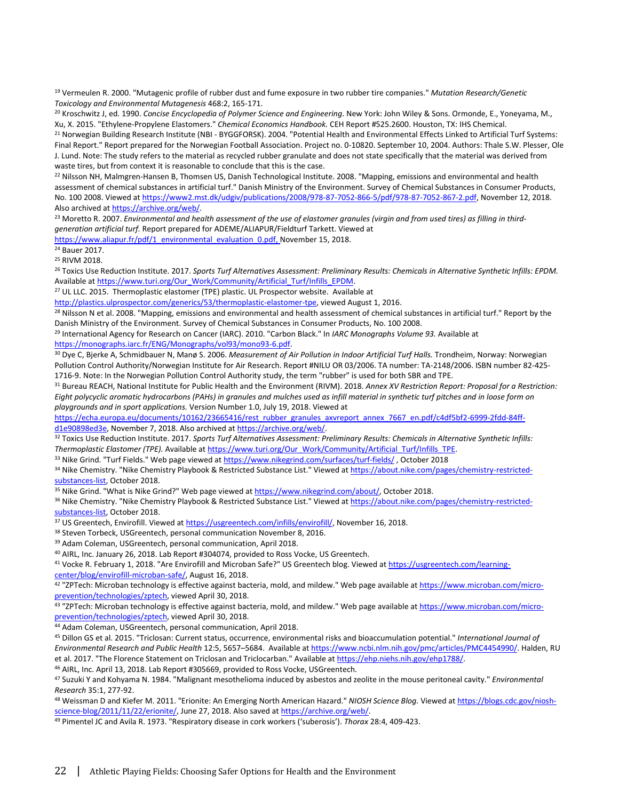<sup>19</sup> Vermeulen R. 2000. "Mutagenic profile of rubber dust and fume exposure in two rubber tire companies." *Mutation Research/Genetic* 

<span id="page-23-0"></span>*Toxicology and Environmental Mutagenesis* 468:2, 165-171.<br><sup>20</sup> Kroschwitz J, ed. 1990. *Concise Encyclopedia of Polymer Science and Engineering*. New York: John Wiley & Sons. Ormonde, E., Yoneyama, M., Xu, X. 2015. "Ethylene-Propylene Elastomers." *Chemical Economics Handbook.* CEH Report #525.2600. Houston, TX: IHS Chemical.

<span id="page-23-1"></span><sup>21</sup> Norwegian Building Research Institute (NBI - BYGGFORSK). 2004. "Potential Health and Environmental Effects Linked to Artificial Turf Systems: Final Report." Report prepared for the Norwegian Football Association. Project no. 0-10820. September 10, 2004. Authors: Thale S.W. Plesser, Ole J. Lund. Note: The study refers to the material as recycled rubber granulate and does not state specifically that the material was derived from waste tires, but from context it is reasonable to conclude that this is the case.

<sup>22</sup> Nilsson NH, Malmgren-Hansen B, Thomsen US, Danish Technological Institute. 2008. "Mapping, emissions and environmental and health assessment of chemical substances in artificial turf." Danish Ministry of the Environment. Survey of Chemical Substances in Consumer Products, No. 100 2008. Viewed a[t https://www2.mst.dk/udgiv/publications/2008/978-87-7052-866-5/pdf/978-87-7052-867-2.pdf,](https://www2.mst.dk/udgiv/publications/2008/978-87-7052-866-5/pdf/978-87-7052-867-2.pdf) November 12, 2018. Also archived at <u>https://archive.org/web/</u>.<br><sup>23</sup> Moretto R. 2007. *Environmental and health assessment of the use of elastomer granules (virgin and from used tires) as filling in third-*

*generation artificial turf.* Report prepared for ADEME/ALIAPUR/Fieldturf Tarkett. Viewed at

[https://www.aliapur.fr/pdf/1\\_environmental\\_evaluation\\_0.pdf,](https://www.aliapur.fr/pdf/1_environmental_evaluation_0.pdf) November 15, 2018.

<sup>24</sup> Bauer 2017. <sup>25</sup> RIVM 2018.

<sup>26</sup> Toxics Use Reduction Institute. 2017. *Sports Turf Alternatives Assessment: Preliminary Results: Chemicals in Alternative Synthetic Infills: EPDM.* 

Available a[t https://www.turi.org/Our\\_Work/Community/Artificial\\_Turf/Infills\\_EPDM.](https://www.turi.org/Our_Work/Community/Artificial_Turf/Infills_EPDM) 27 UL LLC. 2015. Thermoplastic elastomer (TPE) plastic. UL Prospector website.Available at

[http://plastics.ulprospector.com/generics/53/thermoplastic-elastomer-tpe,](http://plastics.ulprospector.com/generics/53/thermoplastic-elastomer-tpe) viewed August 1, 2016.<br><sup>28</sup> Nilsson N et al. 2008. "Mapping, emissions and environmental and health assessment of chemical substances in artificial

Danish Ministry of the Environment. Survey of Chemical Substances in Consumer Products, No. 100 2008.<br><sup>29</sup> International Agency for Research on Cancer (IARC). 2010. "Carbon Black." In *IARC Monographs Volume 93.* Available [https://monographs.iarc.fr/ENG/Monographs/vol93/mono93-6.pdf.](https://monographs.iarc.fr/ENG/Monographs/vol93/mono93-6.pdf)

<sup>30</sup> Dye C, Bjerke A, Schmidbauer N, Manø S. 2006. *Measurement of Air Pollution in Indoor Artificial Turf Halls.* Trondheim, Norway: Norwegian Pollution Control Authority/Norwegian Institute for Air Research. Report #NILU OR 03/2006. TA number: TA-2148/2006. ISBN number 82-425- 1716-9. Note: In the Norwegian Pollution Control Authority study, the term "rubber" is used for both SBR and TPE.

<sup>31</sup> Bureau REACH, National Institute for Public Health and the Environment (RIVM). 2018. *Annex XV Restriction Report: Proposal for a Restriction: Eight polycyclic aromatic hydrocarbons (PAHs) in granules and mulches used as infill material in synthetic turf pitches and in loose form on playgrounds and in sport applications.* Version Number 1.0, July 19, 2018. Viewed at

[https://echa.europa.eu/documents/10162/23665416/rest\\_rubber\\_granules\\_axvreport\\_annex\\_7667\\_en.pdf/c4df5bf2-6999-2fdd-84ff](https://echa.europa.eu/documents/10162/23665416/rest_rubber_granules_axvreport_annex_7667_en.pdf/c4df5bf2-6999-2fdd-84ff-d1e90898ed3e)[d1e90898ed3e,](https://echa.europa.eu/documents/10162/23665416/rest_rubber_granules_axvreport_annex_7667_en.pdf/c4df5bf2-6999-2fdd-84ff-d1e90898ed3e) November 7, 2018. Also archived at [https://archive.org/web/.](https://archive.org/web/)

<sup>32</sup> Toxics Use Reduction Institute. 2017. *Sports Turf Alternatives Assessment: Preliminary Results: Chemicals in Alternative Synthetic Infills:*  Thermoplastic Elastomer (TPE). Available at https://www.turi.org/Our\_Work/Community/Artificial\_Turf/Infills\_TPE.<br><sup>33</sup> Nike Grind. "Turf Fields." Web page viewed a[t https://www.nikegrind.com/surfaces/turf-fields/](https://www.nikegrind.com/surfaces/turf-fields/), October 2

34 Nike Chemistry. "Nike Chemistry Playbook & Restricted Substance List." Viewed at [https://about.nike.com/pages/chemistry-restricted](https://about.nike.com/pages/chemistry-restricted-substances-list)[substances-list,](https://about.nike.com/pages/chemistry-restricted-substances-list) October 2018.<br><sup>35</sup> Nike Grind. "What is Nike Grind?" Web page viewed at <u>https://www.nikegrind.com/about/</u>, October 2018.<br><sup>36</sup> Nike Chemistry. "Nike Chemistry Playbook & Restricted Substance List." Viewed

[substances-list,](https://about.nike.com/pages/chemistry-restricted-substances-list) October 2018.<br><sup>37</sup> US Greentech, Envirofill. Viewed at [https://usgreentech.com/infills/envirofill/,](https://usgreentech.com/infills/envirofill/) November 16, 2018.

<sup>38</sup> Steven Torbeck, USGreentech, personal communication November 8, 2016.

<sup>39</sup> Adam Coleman, USGreentech, personal communication, April 2018.

<sup>40</sup> AIRL, Inc. January 26, 2018. Lab Report #304074, provided to Ross Vocke, US Greentech.<br><sup>41</sup> Vocke R. February 1, 2018. "Are Envirofill and Microban Safe?" US Greentech blog. Viewed at <u>https://usgreentech.com/learning</u> [center/blog/envirofill-microban-safe/,](https://usgreentech.com/learning-center/blog/envirofill-microban-safe/) August 16, 2018.

<sup>42</sup> "ZPTech: Microban technology is effective against bacteria, mold, and mildew." Web page available at https://www.microban.com/micro-<br>prevention/technologies/zptech, viewed April 30, 2018.

<sup>43</sup> "ZPTech: Microban technology is effective against bacteria, mold, and mildew." Web page available a[t https://www.microban.com/micro](https://www.microban.com/micro-prevention/technologies/zptech)[prevention/technologies/zptech,](https://www.microban.com/micro-prevention/technologies/zptech) viewed April 30, 2018. 44 Adam Coleman, USGreentech, personal communication, April 2018.

<sup>45</sup> Dillon GS et al. 2015. "Triclosan: Current status, occurrence, environmental risks and bioaccumulation potential." *International Journal of Environmental Research and Public Health* 12:5, 5657–5684. Available at [https://www.ncbi.nlm.nih.gov/pmc/articles/PMC4454990/.](https://www.ncbi.nlm.nih.gov/pmc/articles/PMC4454990/) Halden, RU et al. 2017. "The Florence Statement on Triclosan and Triclocarban." Available at https://ehp.niehs.nih.gov/ehp1788/.<br><sup>46</sup> AIRL, Inc. April 13, 2018. Lab Report #305669, provided to Ross Vocke, USGreentech.

<sup>47</sup> Suzuki Y and Kohyama N. 1984. "Malignant mesothelioma induced by asbestos and zeolite in the mouse peritoneal cavity." *Environmental Research* 35:1, 277-92.<br><sup>48</sup> Weissman D and Kiefer M. 2011. "Erionite: An Emerging North American Hazard." *NIOSH Science Blog.* Viewed at [https://blogs.cdc.gov/niosh-](https://blogs.cdc.gov/niosh-science-blog/2011/11/22/erionite/)

[science-blog/2011/11/22/erionite/,](https://blogs.cdc.gov/niosh-science-blog/2011/11/22/erionite/) June 27, 2018. Also saved a[t https://archive.org/web/.](https://archive.org/web/) 49 Pimentel JC and Avila R. 1973. "Respiratory disease in cork workers ('suberosis'). *Thorax* 28:4, 409-423.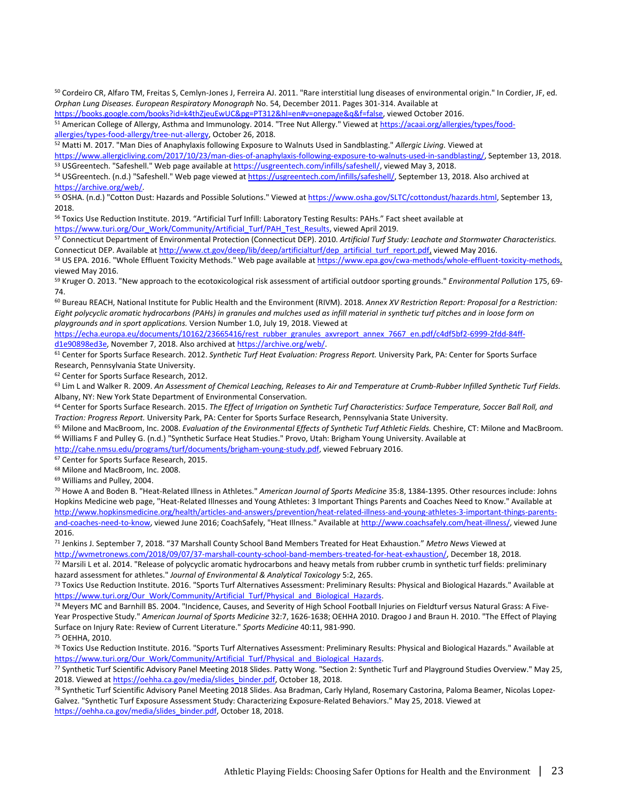<sup>50</sup> Cordeiro CR, Alfaro TM, Freitas S, Cemlyn-Jones J, Ferreira AJ. 2011. "Rare interstitial lung diseases of environmental origin." In Cordier, JF, ed. *Orphan Lung Diseases. European Respiratory Monograph* No. 54, December 2011. Pages 301-314. Available at

[https://books.google.com/books?id=k4thZjeuEwUC&pg=PT312&hl=en#v=onepage&q&f=false,](https://books.google.com/books?id=k4thZjeuEwUC&pg=PT312&hl=en#v=onepage&q&f=false) viewed October 2016.<br><sup>51</sup> American College of Allergy, Asthma and Immunology. 2014. "Tree Nut Allergy." Viewed at https://acaai.org/allergi [allergies/types-food-allergy/tree-nut-allergy,](https://acaai.org/allergies/types/food-allergieas/types-food-allergy/tree-nut-allergy) October 26, 2018.<br><sup>52</sup> Matti M. 2017. "Man Dies of Anaphylaxis following Exposure to Walnuts Used in Sandblasting." *Allergic Living.* Viewed at

[https://www.allergicliving.com/2017/10/23/man-dies-of-anaphylaxis-following-exposure-to-walnuts-used-in-sandblasting/,](https://www.allergicliving.com/2017/10/23/man-dies-of-anaphylaxis-following-exposure-to-walnuts-used-in-sandblasting/) September 13, 2018.<br><sup>53</sup> USGreentech. "Safeshell." Web page available at https://usgreentech.com/infill

<span id="page-24-0"></span>

[https://archive.org/web/.](https://archive.org/web/)

55 OSHA. (n.d.) "Cotton Dust: Hazards and Possible Solutions." Viewed at [https://www.osha.gov/SLTC/cottondust/hazards.html,](https://www.osha.gov/SLTC/cottondust/hazards.html) September 13, 2018.

<span id="page-24-1"></span><sup>56</sup> Toxics Use Reduction Institute. 2019. "Artificial Turf Infill: Laboratory Testing Results: PAHs." Fact sheet available at

[https://www.turi.org/Our\\_Work/Community/Artificial\\_Turf/PAH\\_Test\\_Results,](https://www.turi.org/Our_Work/Community/Artificial_Turf/PAH_Test_Results) viewed April 2019.<br><sup>57</sup> Connecticut Department of Environmental Protection (Connecticut DEP). 2010. Artificial Turf Study: Leachate and Stormwater C

Connecticut DEP. Available at http://www.ct.gov/deep/lib/deep/artificialturf/dep\_artificial\_turf\_report.pdf, viewed May 2016.<br><sup>58</sup> US EPA. 2016. "Whole Effluent Toxicity Methods." Web page available at https://www.epa.gov/ viewed May 2016.

<sup>59</sup> Kruger O. 2013. "New approach to the ecotoxicological risk assessment of artificial outdoor sporting grounds." *Environmental Pollution* 175, 69- 74.

<sup>60</sup> Bureau REACH, National Institute for Public Health and the Environment (RIVM). 2018. *Annex XV Restriction Report: Proposal for a Restriction: Eight polycyclic aromatic hydrocarbons (PAHs) in granules and mulches used as infill material in synthetic turf pitches and in loose form on playgrounds and in sport applications.* Version Number 1.0, July 19, 2018. Viewed at

[https://echa.europa.eu/documents/10162/23665416/rest\\_rubber\\_granules\\_axvreport\\_annex\\_7667\\_en.pdf/c4df5bf2-6999-2fdd-84ff](https://echa.europa.eu/documents/10162/23665416/rest_rubber_granules_axvreport_annex_7667_en.pdf/c4df5bf2-6999-2fdd-84ff-d1e90898ed3e)[d1e90898ed3e,](https://echa.europa.eu/documents/10162/23665416/rest_rubber_granules_axvreport_annex_7667_en.pdf/c4df5bf2-6999-2fdd-84ff-d1e90898ed3e) November 7, 2018. Also archived at [https://archive.org/web/.](https://archive.org/web/)

<sup>61</sup> Center for Sports Surface Research. 2012. *Synthetic Turf Heat Evaluation: Progress Report.* University Park, PA: Center for Sports Surface Research, Pennsylvania State University.

<sup>62</sup> Center for Sports Surface Research, 2012.

<sup>63</sup> Lim L and Walker R. 2009. An Assessment of Chemical Leaching, Releases to Air and Temperature at Crumb-Rubber Infilled Synthetic Turf Fields. Albany, NY: New York State Department of Environmental Conservation.

<sup>64</sup> Center for Sports Surface Research. 2015. *The Effect of Irrigation on Synthetic Turf Characteristics: Surface Temperature, Soccer Ball Roll, and* 

Traction: Progress Report. University Park, PA: Center for Sports Surface Research, Pennsylvania State University.<br><sup>65</sup> Milone and MacBroom, Inc. 2008. *Evaluation of the Environmental Effects of Synthetic Turf Athletic Fi* 

[http://cahe.nmsu.edu/programs/turf/documents/brigham-young-study.pdf,](http://cahe.nmsu.edu/programs/turf/documents/brigham-young-study.pdf) viewed February 2016.<br><sup>67</sup> Center for Sports Surface Research, 2015.

<sup>68</sup> Milone and MacBroom, Inc. 2008.

<sup>69</sup> Williams and Pulley, 2004.

<sup>70</sup> Howe A and Boden B. "Heat-Related Illness in Athletes." *American Journal of Sports Medicine* 35:8, 1384-1395. Other resources include: Johns Hopkins Medicine web page, "Heat-Related Illnesses and Young Athletes: 3 Important Things Parents and Coaches Need to Know." Available at [http://www.hopkinsmedicine.org/health/articles-and-answers/prevention/heat-related-illness-and-young-athletes-3-important-things-parents](http://www.hopkinsmedicine.org/health/articles-and-answers/prevention/heat-related-illness-and-young-athletes-3-important-things-parents-and-coaches-need-to-know)[and-coaches-need-to-know,](http://www.hopkinsmedicine.org/health/articles-and-answers/prevention/heat-related-illness-and-young-athletes-3-important-things-parents-and-coaches-need-to-know) viewed June 2016; CoachSafely, "Heat Illness." Available a[t http://www.coachsafely.com/heat-illness/,](http://www.coachsafely.com/heat-illness/) viewed June 2016.

<sup>71</sup> Jenkins J. September 7, 2018. "37 Marshall County School Band Members Treated for Heat Exhaustion." *Metro News* Viewed at [http://wvmetronews.com/2018/09/07/37-marshall-county-school-band-members-treated-for-heat-exhaustion/,](http://wvmetronews.com/2018/09/07/37-marshall-county-school-band-members-treated-for-heat-exhaustion/) December 18, 2018.

72 Marsili L et al. 2014. "Release of polycyclic aromatic hydrocarbons and heavy metals from rubber crumb in synthetic turf fields: preliminary

hazard assessment for athletes." Journal of Environmental & Analytical Toxicology 5:2, 265.<br><sup>73</sup> Toxics Use Reduction Institute. 2016. "Sports Turf Alternatives Assessment: Preliminary Results: Physical and Biological Haza

74 Meyers MC and Barnhill BS. 2004. "Incidence, Causes, and Severity of High School Football Injuries on Fieldturf versus Natural Grass: A Five-Year Prospective Study." *American Journal of Sports Medicine* 32:7, 1626-1638; OEHHA 2010. Dragoo J and Braun H. 2010. "The Effect of Playing Surface on Injury Rate: Review of Current Literature." *Sports Medicine* 40:11, 981-990.

<sup>75</sup> OEHHA, 2010.

<sup>76</sup> Toxics Use Reduction Institute. 2016. "Sports Turf Alternatives Assessment: Preliminary Results: Physical and Biological Hazards." Available at https://www.turi.org/Our\_Work/Community/Artificial\_Turf/Physical\_and\_Biological\_Hazards.<br>77 Synthetic Turf Scientific Advisory Panel Meeting 2018 Slides. Patty Wong. "Section 2: Synthetic Turf and Playground Studies Overvi

2018. Viewed at [https://oehha.ca.gov/media/slides\\_binder.pdf,](https://oehha.ca.gov/media/slides_binder.pdf) October 18, 2018. 2018. 78 Synthetic Turf Scientific Advisory Panel Meeting 2018 Slides. Asa Bradman, Carly Hyland, Rosemary Castorina, Paloma Beamer, Nicolas L

Galvez. "Synthetic Turf Exposure Assessment Study: Characterizing Exposure-Related Behaviors." May 25, 2018. Viewed at [https://oehha.ca.gov/media/slides\\_binder.pdf,](https://oehha.ca.gov/media/slides_binder.pdf) October 18, 2018.